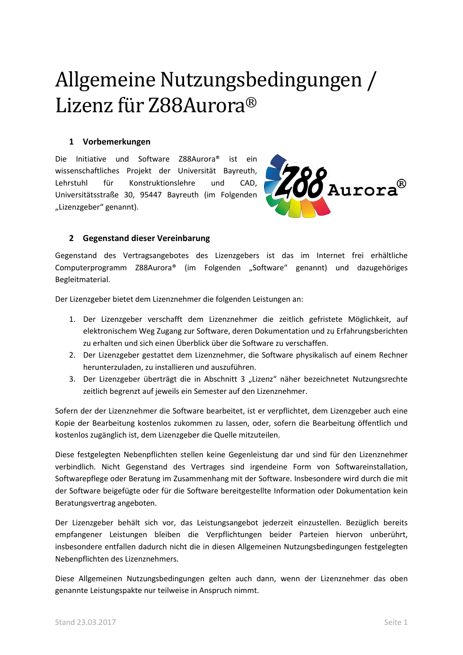## Allgemeine Nutzungsbedingungen / Lizenz für Z88Aurora®

## **1 Vorbemerkungen**

Die Initiative und Software Z88Aurora® ist ein wissenschaftliches Projekt der Universität Bayreuth, Lehrstuhl für Konstruktionslehre und CAD, Universitätsstraße 30, 95447 Bayreuth (im Folgenden "Lizenzgeber" genannt).



## **2 Gegenstand dieser Vereinbarung**

Gegenstand des Vertragsangebotes des Lizenzgebers ist das im Internet frei erhältliche Computerprogramm Z88Aurora® (im Folgenden "Software" genannt) und dazugehöriges Begleitmaterial.

Der Lizenzgeber bietet dem Lizenznehmer die folgenden Leistungen an:

- 1. Der Lizenzgeber verschafft dem Lizenznehmer die zeitlich gefristete Möglichkeit, auf elektronischem Weg Zugang zur Software, deren Dokumentation und zu Erfahrungsberichten zu erhalten und sich einen Überblick über die Software zu verschaffen.
- 2. Der Lizenzgeber gestattet dem Lizenznehmer, die Software physikalisch auf einem Rechner herunterzuladen, zu installieren und auszuführen.
- 3. Der Lizenzgeber überträgt die in Abschnitt 3 "Lizenz" näher bezeichnetet Nutzungsrechte zeitlich begrenzt auf jeweils ein Semester auf den Lizenznehmer.

Sofern der der Lizenznehmer die Software bearbeitet, ist er verpflichtet, dem Lizenzgeber auch eine Kopie der Bearbeitung kostenlos zukommen zu lassen, oder, sofern die Bearbeitung öffentlich und kostenlos zugänglich ist, dem Lizenzgeber die Quelle mitzuteilen.

Diese festgelegten Nebenpflichten stellen keine Gegenleistung dar und sind für den Lizenznehmer verbindlich. Nicht Gegenstand des Vertrages sind irgendeine Form von Softwareinstallation, Softwarepflege oder Beratung im Zusammenhang mit der Software. Insbesondere wird durch die mit der Software beigefügte oder für die Software bereitgestellte Information oder Dokumentation kein Beratungsvertrag angeboten.

Der Lizenzgeber behält sich vor, das Leistungsangebot jederzeit einzustellen. Bezüglich bereits empfangener Leistungen bleiben die Verpflichtungen beider Parteien hiervon unberührt, insbesondere entfallen dadurch nicht die in diesen Allgemeinen Nutzungsbedingungen festgelegten Nebenpflichten des Lizenznehmers.

Diese Allgemeinen Nutzungsbedingungen gelten auch dann, wenn der Lizenznehmer das oben genannte Leistungspakte nur teilweise in Anspruch nimmt.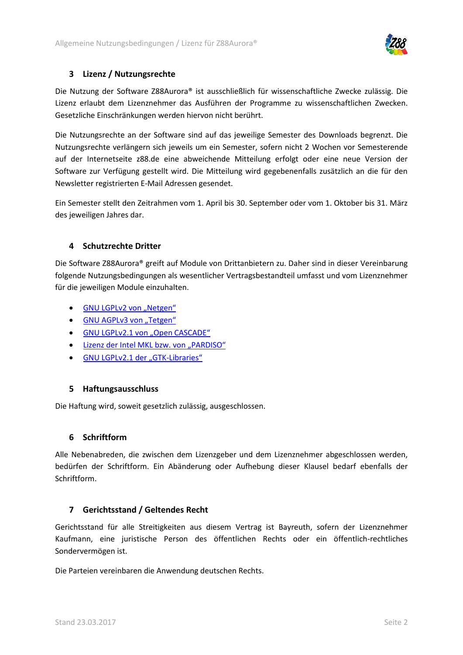

## **3 Lizenz / Nutzungsrechte**

Die Nutzung der Software Z88Aurora® ist ausschließlich für wissenschaftliche Zwecke zulässig. Die Lizenz erlaubt dem Lizenznehmer das Ausführen der Programme zu wissenschaftlichen Zwecken. Gesetzliche Einschränkungen werden hiervon nicht berührt.

Die Nutzungsrechte an der Software sind auf das jeweilige Semester des Downloads begrenzt. Die Nutzungsrechte verlängern sich jeweils um ein Semester, sofern nicht 2 Wochen vor Semesterende auf der Internetseite z88.de eine abweichende Mitteilung erfolgt oder eine neue Version der Software zur Verfügung gestellt wird. Die Mitteilung wird gegebenenfalls zusätzlich an die für den Newsletter registrierten E-Mail Adressen gesendet.

Ein Semester stellt den Zeitrahmen vom 1. April bis 30. September oder vom 1. Oktober bis 31. März des jeweiligen Jahres dar.

## **4 Schutzrechte Dritter**

Die Software Z88Aurora® greift auf Module von Drittanbietern zu. Daher sind in dieser Vereinbarung folgende Nutzungsbedingungen als wesentlicher Vertragsbestandteil umfasst und vom Lizenznehmer für die jeweiligen Module einzuhalten.

- GNU LGPLv2 [von "Netgen"](#page-3-0)
- [GNU AGPLv3 von](#page-11-0) "Tetgen"
- GNU LGPLv2.1 [von "Open CASCADE"](#page-22-0)
- Lizenz [der Intel MKL bzw. von "PARDISO"](#page-31-0)
- [GNU LGPLv2.1](#page-43-0) der "GTK-Libraries"

## **5 Haftungsausschluss**

Die Haftung wird, soweit gesetzlich zulässig, ausgeschlossen.

## **6 Schriftform**

Alle Nebenabreden, die zwischen dem Lizenzgeber und dem Lizenznehmer abgeschlossen werden, bedürfen der Schriftform. Ein Abänderung oder Aufhebung dieser Klausel bedarf ebenfalls der Schriftform.

## **7 Gerichtsstand / Geltendes Recht**

Gerichtsstand für alle Streitigkeiten aus diesem Vertrag ist Bayreuth, sofern der Lizenznehmer Kaufmann, eine juristische Person des öffentlichen Rechts oder ein öffentlich-rechtliches Sondervermögen ist.

Die Parteien vereinbaren die Anwendung deutschen Rechts.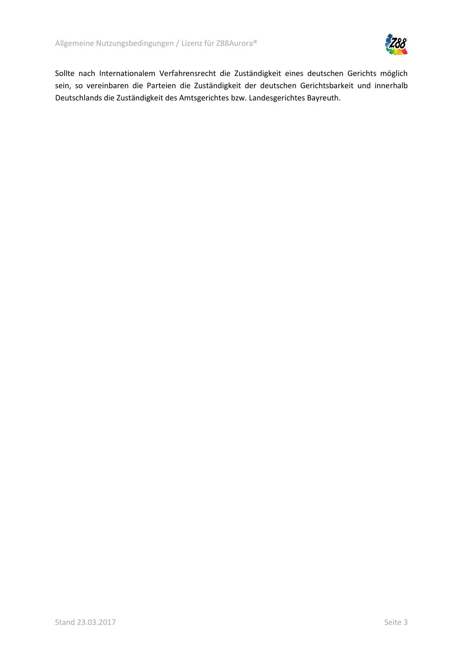

Sollte nach Internationalem Verfahrensrecht die Zuständigkeit eines deutschen Gerichts möglich sein, so vereinbaren die Parteien die Zuständigkeit der deutschen Gerichtsbarkeit und innerhalb Deutschlands die Zuständigkeit des Amtsgerichtes bzw. Landesgerichtes Bayreuth.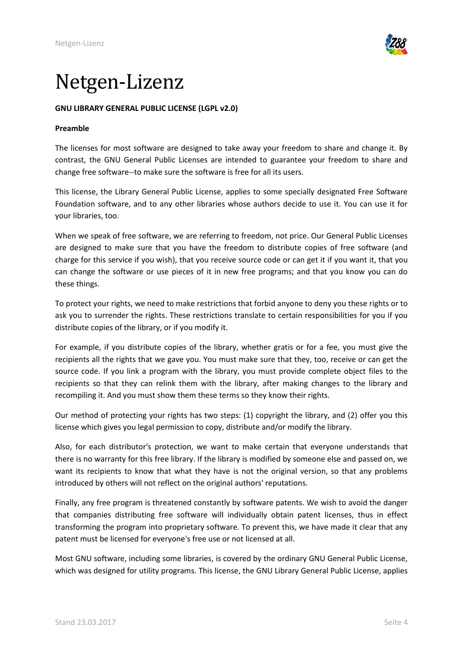

## <span id="page-3-0"></span>Netgen-Lizenz

## **GNU LIBRARY GENERAL PUBLIC LICENSE (LGPL v2.0)**

#### **Preamble**

The licenses for most software are designed to take away your freedom to share and change it. By contrast, the GNU General Public Licenses are intended to guarantee your freedom to share and change free software--to make sure the software is free for all its users.

This license, the Library General Public License, applies to some specially designated Free Software Foundation software, and to any other libraries whose authors decide to use it. You can use it for your libraries, too.

When we speak of free software, we are referring to freedom, not price. Our General Public Licenses are designed to make sure that you have the freedom to distribute copies of free software (and charge for this service if you wish), that you receive source code or can get it if you want it, that you can change the software or use pieces of it in new free programs; and that you know you can do these things.

To protect your rights, we need to make restrictions that forbid anyone to deny you these rights or to ask you to surrender the rights. These restrictions translate to certain responsibilities for you if you distribute copies of the library, or if you modify it.

For example, if you distribute copies of the library, whether gratis or for a fee, you must give the recipients all the rights that we gave you. You must make sure that they, too, receive or can get the source code. If you link a program with the library, you must provide complete object files to the recipients so that they can relink them with the library, after making changes to the library and recompiling it. And you must show them these terms so they know their rights.

Our method of protecting your rights has two steps: (1) copyright the library, and (2) offer you this license which gives you legal permission to copy, distribute and/or modify the library.

Also, for each distributor's protection, we want to make certain that everyone understands that there is no warranty for this free library. If the library is modified by someone else and passed on, we want its recipients to know that what they have is not the original version, so that any problems introduced by others will not reflect on the original authors' reputations.

Finally, any free program is threatened constantly by software patents. We wish to avoid the danger that companies distributing free software will individually obtain patent licenses, thus in effect transforming the program into proprietary software. To prevent this, we have made it clear that any patent must be licensed for everyone's free use or not licensed at all.

Most GNU software, including some libraries, is covered by the ordinary GNU General Public License, which was designed for utility programs. This license, the GNU Library General Public License, applies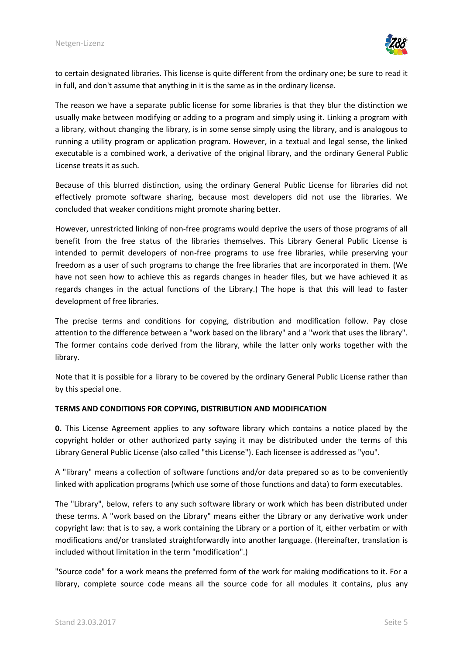

to certain designated libraries. This license is quite different from the ordinary one; be sure to read it in full, and don't assume that anything in it is the same as in the ordinary license.

The reason we have a separate public license for some libraries is that they blur the distinction we usually make between modifying or adding to a program and simply using it. Linking a program with a library, without changing the library, is in some sense simply using the library, and is analogous to running a utility program or application program. However, in a textual and legal sense, the linked executable is a combined work, a derivative of the original library, and the ordinary General Public License treats it as such.

Because of this blurred distinction, using the ordinary General Public License for libraries did not effectively promote software sharing, because most developers did not use the libraries. We concluded that weaker conditions might promote sharing better.

However, unrestricted linking of non-free programs would deprive the users of those programs of all benefit from the free status of the libraries themselves. This Library General Public License is intended to permit developers of non-free programs to use free libraries, while preserving your freedom as a user of such programs to change the free libraries that are incorporated in them. (We have not seen how to achieve this as regards changes in header files, but we have achieved it as regards changes in the actual functions of the Library.) The hope is that this will lead to faster development of free libraries.

The precise terms and conditions for copying, distribution and modification follow. Pay close attention to the difference between a "work based on the library" and a "work that uses the library". The former contains code derived from the library, while the latter only works together with the library.

Note that it is possible for a library to be covered by the ordinary General Public License rather than by this special one.

## **TERMS AND CONDITIONS FOR COPYING, DISTRIBUTION AND MODIFICATION**

**0.** This License Agreement applies to any software library which contains a notice placed by the copyright holder or other authorized party saying it may be distributed under the terms of this Library General Public License (also called "this License"). Each licensee is addressed as "you".

A "library" means a collection of software functions and/or data prepared so as to be conveniently linked with application programs (which use some of those functions and data) to form executables.

The "Library", below, refers to any such software library or work which has been distributed under these terms. A "work based on the Library" means either the Library or any derivative work under copyright law: that is to say, a work containing the Library or a portion of it, either verbatim or with modifications and/or translated straightforwardly into another language. (Hereinafter, translation is included without limitation in the term "modification".)

"Source code" for a work means the preferred form of the work for making modifications to it. For a library, complete source code means all the source code for all modules it contains, plus any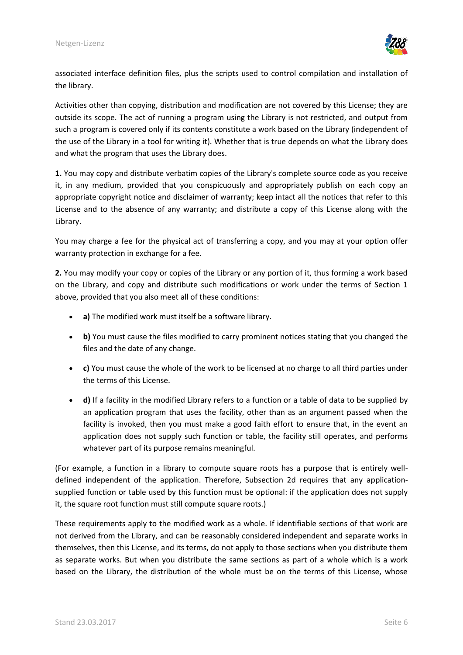

associated interface definition files, plus the scripts used to control compilation and installation of the library.

Activities other than copying, distribution and modification are not covered by this License; they are outside its scope. The act of running a program using the Library is not restricted, and output from such a program is covered only if its contents constitute a work based on the Library (independent of the use of the Library in a tool for writing it). Whether that is true depends on what the Library does and what the program that uses the Library does.

**1.** You may copy and distribute verbatim copies of the Library's complete source code as you receive it, in any medium, provided that you conspicuously and appropriately publish on each copy an appropriate copyright notice and disclaimer of warranty; keep intact all the notices that refer to this License and to the absence of any warranty; and distribute a copy of this License along with the Library.

You may charge a fee for the physical act of transferring a copy, and you may at your option offer warranty protection in exchange for a fee.

**2.** You may modify your copy or copies of the Library or any portion of it, thus forming a work based on the Library, and copy and distribute such modifications or work under the terms of Section 1 above, provided that you also meet all of these conditions:

- **a)** The modified work must itself be a software library.
- **b)** You must cause the files modified to carry prominent notices stating that you changed the files and the date of any change.
- **c)** You must cause the whole of the work to be licensed at no charge to all third parties under the terms of this License.
- **d)** If a facility in the modified Library refers to a function or a table of data to be supplied by an application program that uses the facility, other than as an argument passed when the facility is invoked, then you must make a good faith effort to ensure that, in the event an application does not supply such function or table, the facility still operates, and performs whatever part of its purpose remains meaningful.

(For example, a function in a library to compute square roots has a purpose that is entirely welldefined independent of the application. Therefore, Subsection 2d requires that any applicationsupplied function or table used by this function must be optional: if the application does not supply it, the square root function must still compute square roots.)

These requirements apply to the modified work as a whole. If identifiable sections of that work are not derived from the Library, and can be reasonably considered independent and separate works in themselves, then this License, and its terms, do not apply to those sections when you distribute them as separate works. But when you distribute the same sections as part of a whole which is a work based on the Library, the distribution of the whole must be on the terms of this License, whose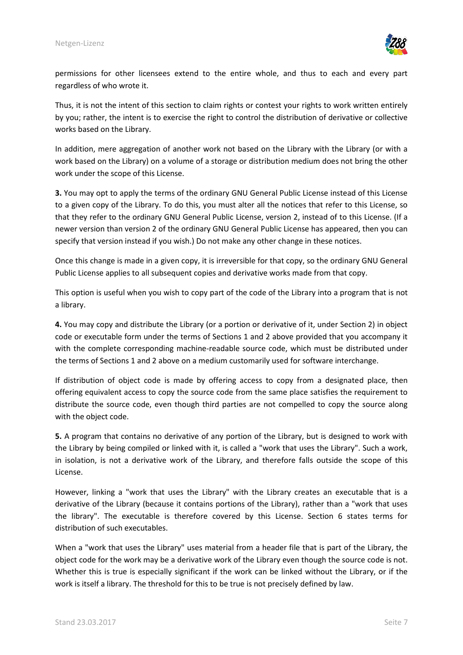

permissions for other licensees extend to the entire whole, and thus to each and every part regardless of who wrote it.

Thus, it is not the intent of this section to claim rights or contest your rights to work written entirely by you; rather, the intent is to exercise the right to control the distribution of derivative or collective works based on the Library.

In addition, mere aggregation of another work not based on the Library with the Library (or with a work based on the Library) on a volume of a storage or distribution medium does not bring the other work under the scope of this License.

**3.** You may opt to apply the terms of the ordinary GNU General Public License instead of this License to a given copy of the Library. To do this, you must alter all the notices that refer to this License, so that they refer to the ordinary GNU General Public License, version 2, instead of to this License. (If a newer version than version 2 of the ordinary GNU General Public License has appeared, then you can specify that version instead if you wish.) Do not make any other change in these notices.

Once this change is made in a given copy, it is irreversible for that copy, so the ordinary GNU General Public License applies to all subsequent copies and derivative works made from that copy.

This option is useful when you wish to copy part of the code of the Library into a program that is not a library.

**4.** You may copy and distribute the Library (or a portion or derivative of it, under Section 2) in object code or executable form under the terms of Sections 1 and 2 above provided that you accompany it with the complete corresponding machine-readable source code, which must be distributed under the terms of Sections 1 and 2 above on a medium customarily used for software interchange.

If distribution of object code is made by offering access to copy from a designated place, then offering equivalent access to copy the source code from the same place satisfies the requirement to distribute the source code, even though third parties are not compelled to copy the source along with the object code.

**5.** A program that contains no derivative of any portion of the Library, but is designed to work with the Library by being compiled or linked with it, is called a "work that uses the Library". Such a work, in isolation, is not a derivative work of the Library, and therefore falls outside the scope of this License.

However, linking a "work that uses the Library" with the Library creates an executable that is a derivative of the Library (because it contains portions of the Library), rather than a "work that uses the library". The executable is therefore covered by this License. Section 6 states terms for distribution of such executables.

When a "work that uses the Library" uses material from a header file that is part of the Library, the object code for the work may be a derivative work of the Library even though the source code is not. Whether this is true is especially significant if the work can be linked without the Library, or if the work is itself a library. The threshold for this to be true is not precisely defined by law.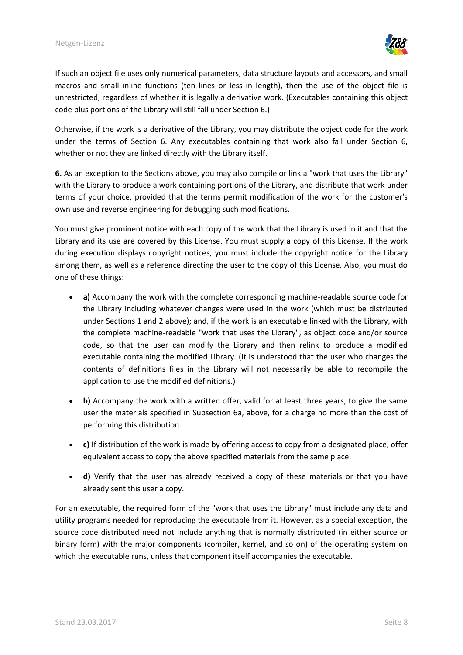

If such an object file uses only numerical parameters, data structure layouts and accessors, and small macros and small inline functions (ten lines or less in length), then the use of the object file is unrestricted, regardless of whether it is legally a derivative work. (Executables containing this object code plus portions of the Library will still fall under Section 6.)

Otherwise, if the work is a derivative of the Library, you may distribute the object code for the work under the terms of Section 6. Any executables containing that work also fall under Section 6, whether or not they are linked directly with the Library itself.

**6.** As an exception to the Sections above, you may also compile or link a "work that uses the Library" with the Library to produce a work containing portions of the Library, and distribute that work under terms of your choice, provided that the terms permit modification of the work for the customer's own use and reverse engineering for debugging such modifications.

You must give prominent notice with each copy of the work that the Library is used in it and that the Library and its use are covered by this License. You must supply a copy of this License. If the work during execution displays copyright notices, you must include the copyright notice for the Library among them, as well as a reference directing the user to the copy of this License. Also, you must do one of these things:

- **a)** Accompany the work with the complete corresponding machine-readable source code for the Library including whatever changes were used in the work (which must be distributed under Sections 1 and 2 above); and, if the work is an executable linked with the Library, with the complete machine-readable "work that uses the Library", as object code and/or source code, so that the user can modify the Library and then relink to produce a modified executable containing the modified Library. (It is understood that the user who changes the contents of definitions files in the Library will not necessarily be able to recompile the application to use the modified definitions.)
- **b)** Accompany the work with a written offer, valid for at least three years, to give the same user the materials specified in Subsection 6a, above, for a charge no more than the cost of performing this distribution.
- **c)** If distribution of the work is made by offering access to copy from a designated place, offer equivalent access to copy the above specified materials from the same place.
- **d)** Verify that the user has already received a copy of these materials or that you have already sent this user a copy.

For an executable, the required form of the "work that uses the Library" must include any data and utility programs needed for reproducing the executable from it. However, as a special exception, the source code distributed need not include anything that is normally distributed (in either source or binary form) with the major components (compiler, kernel, and so on) of the operating system on which the executable runs, unless that component itself accompanies the executable.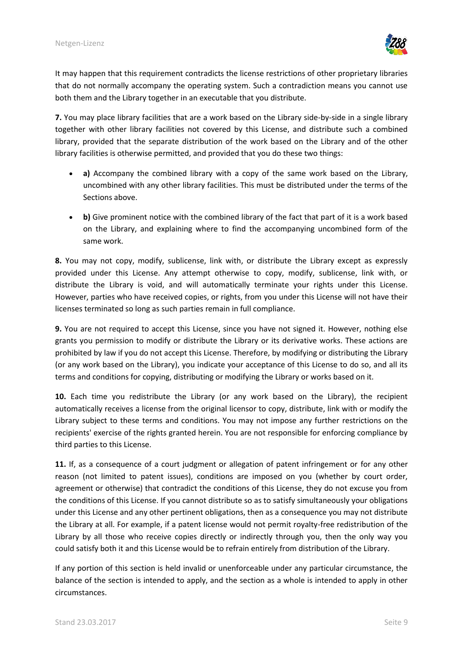

It may happen that this requirement contradicts the license restrictions of other proprietary libraries that do not normally accompany the operating system. Such a contradiction means you cannot use both them and the Library together in an executable that you distribute.

**7.** You may place library facilities that are a work based on the Library side-by-side in a single library together with other library facilities not covered by this License, and distribute such a combined library, provided that the separate distribution of the work based on the Library and of the other library facilities is otherwise permitted, and provided that you do these two things:

- **a)** Accompany the combined library with a copy of the same work based on the Library, uncombined with any other library facilities. This must be distributed under the terms of the Sections above.
- **b)** Give prominent notice with the combined library of the fact that part of it is a work based on the Library, and explaining where to find the accompanying uncombined form of the same work.

**8.** You may not copy, modify, sublicense, link with, or distribute the Library except as expressly provided under this License. Any attempt otherwise to copy, modify, sublicense, link with, or distribute the Library is void, and will automatically terminate your rights under this License. However, parties who have received copies, or rights, from you under this License will not have their licenses terminated so long as such parties remain in full compliance.

**9.** You are not required to accept this License, since you have not signed it. However, nothing else grants you permission to modify or distribute the Library or its derivative works. These actions are prohibited by law if you do not accept this License. Therefore, by modifying or distributing the Library (or any work based on the Library), you indicate your acceptance of this License to do so, and all its terms and conditions for copying, distributing or modifying the Library or works based on it.

**10.** Each time you redistribute the Library (or any work based on the Library), the recipient automatically receives a license from the original licensor to copy, distribute, link with or modify the Library subject to these terms and conditions. You may not impose any further restrictions on the recipients' exercise of the rights granted herein. You are not responsible for enforcing compliance by third parties to this License.

**11.** If, as a consequence of a court judgment or allegation of patent infringement or for any other reason (not limited to patent issues), conditions are imposed on you (whether by court order, agreement or otherwise) that contradict the conditions of this License, they do not excuse you from the conditions of this License. If you cannot distribute so as to satisfy simultaneously your obligations under this License and any other pertinent obligations, then as a consequence you may not distribute the Library at all. For example, if a patent license would not permit royalty-free redistribution of the Library by all those who receive copies directly or indirectly through you, then the only way you could satisfy both it and this License would be to refrain entirely from distribution of the Library.

If any portion of this section is held invalid or unenforceable under any particular circumstance, the balance of the section is intended to apply, and the section as a whole is intended to apply in other circumstances.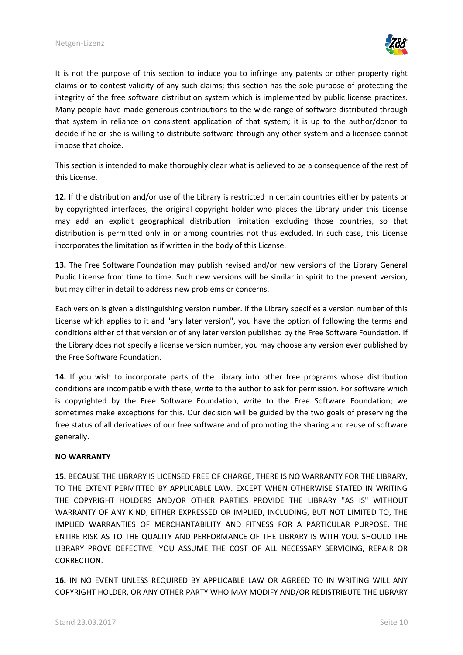

It is not the purpose of this section to induce you to infringe any patents or other property right claims or to contest validity of any such claims; this section has the sole purpose of protecting the integrity of the free software distribution system which is implemented by public license practices. Many people have made generous contributions to the wide range of software distributed through that system in reliance on consistent application of that system; it is up to the author/donor to decide if he or she is willing to distribute software through any other system and a licensee cannot impose that choice.

This section is intended to make thoroughly clear what is believed to be a consequence of the rest of this License.

**12.** If the distribution and/or use of the Library is restricted in certain countries either by patents or by copyrighted interfaces, the original copyright holder who places the Library under this License may add an explicit geographical distribution limitation excluding those countries, so that distribution is permitted only in or among countries not thus excluded. In such case, this License incorporates the limitation as if written in the body of this License.

**13.** The Free Software Foundation may publish revised and/or new versions of the Library General Public License from time to time. Such new versions will be similar in spirit to the present version, but may differ in detail to address new problems or concerns.

Each version is given a distinguishing version number. If the Library specifies a version number of this License which applies to it and "any later version", you have the option of following the terms and conditions either of that version or of any later version published by the Free Software Foundation. If the Library does not specify a license version number, you may choose any version ever published by the Free Software Foundation.

**14.** If you wish to incorporate parts of the Library into other free programs whose distribution conditions are incompatible with these, write to the author to ask for permission. For software which is copyrighted by the Free Software Foundation, write to the Free Software Foundation; we sometimes make exceptions for this. Our decision will be guided by the two goals of preserving the free status of all derivatives of our free software and of promoting the sharing and reuse of software generally.

#### **NO WARRANTY**

**15.** BECAUSE THE LIBRARY IS LICENSED FREE OF CHARGE, THERE IS NO WARRANTY FOR THE LIBRARY, TO THE EXTENT PERMITTED BY APPLICABLE LAW. EXCEPT WHEN OTHERWISE STATED IN WRITING THE COPYRIGHT HOLDERS AND/OR OTHER PARTIES PROVIDE THE LIBRARY "AS IS" WITHOUT WARRANTY OF ANY KIND, EITHER EXPRESSED OR IMPLIED, INCLUDING, BUT NOT LIMITED TO, THE IMPLIED WARRANTIES OF MERCHANTABILITY AND FITNESS FOR A PARTICULAR PURPOSE. THE ENTIRE RISK AS TO THE QUALITY AND PERFORMANCE OF THE LIBRARY IS WITH YOU. SHOULD THE LIBRARY PROVE DEFECTIVE, YOU ASSUME THE COST OF ALL NECESSARY SERVICING, REPAIR OR CORRECTION.

**16.** IN NO EVENT UNLESS REQUIRED BY APPLICABLE LAW OR AGREED TO IN WRITING WILL ANY COPYRIGHT HOLDER, OR ANY OTHER PARTY WHO MAY MODIFY AND/OR REDISTRIBUTE THE LIBRARY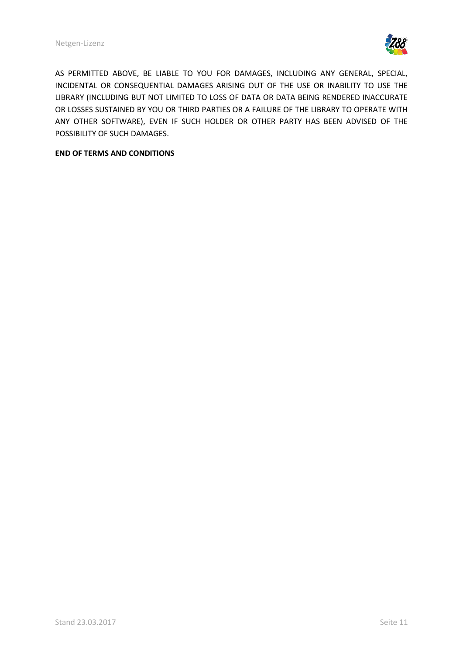

AS PERMITTED ABOVE, BE LIABLE TO YOU FOR DAMAGES, INCLUDING ANY GENERAL, SPECIAL, INCIDENTAL OR CONSEQUENTIAL DAMAGES ARISING OUT OF THE USE OR INABILITY TO USE THE LIBRARY (INCLUDING BUT NOT LIMITED TO LOSS OF DATA OR DATA BEING RENDERED INACCURATE OR LOSSES SUSTAINED BY YOU OR THIRD PARTIES OR A FAILURE OF THE LIBRARY TO OPERATE WITH ANY OTHER SOFTWARE), EVEN IF SUCH HOLDER OR OTHER PARTY HAS BEEN ADVISED OF THE POSSIBILITY OF SUCH DAMAGES.

#### **END OF TERMS AND CONDITIONS**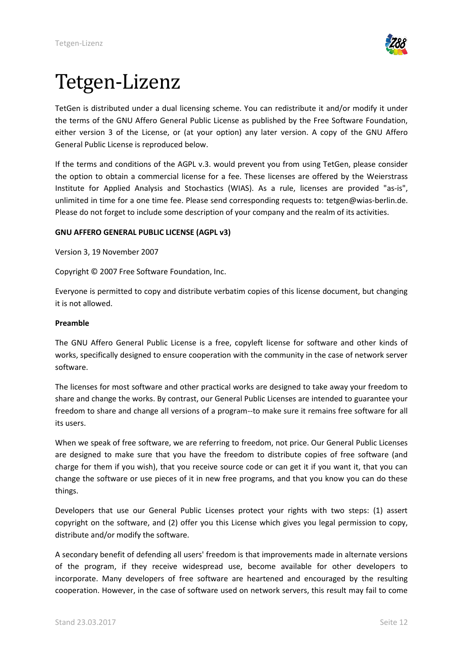

## <span id="page-11-0"></span>Tetgen-Lizenz

TetGen is distributed under a dual licensing scheme. You can redistribute it and/or modify it under the terms of the GNU Affero General Public License as published by the Free Software Foundation, either version 3 of the License, or (at your option) any later version. A copy of the GNU Affero General Public License is reproduced below.

If the terms and conditions of the AGPL v.3. would prevent you from using TetGen, please consider the option to obtain a commercial license for a fee. These licenses are offered by the Weierstrass Institute for Applied Analysis and Stochastics (WIAS). As a rule, licenses are provided "as-is", unlimited in time for a one time fee. Please send corresponding requests to: tetgen@wias-berlin.de. Please do not forget to include some description of your company and the realm of its activities.

## **GNU AFFERO GENERAL PUBLIC LICENSE (AGPL v3)**

Version 3, 19 November 2007

Copyright © 2007 Free Software Foundation, Inc.

Everyone is permitted to copy and distribute verbatim copies of this license document, but changing it is not allowed.

#### **Preamble**

The GNU Affero General Public License is a free, copyleft license for software and other kinds of works, specifically designed to ensure cooperation with the community in the case of network server software.

The licenses for most software and other practical works are designed to take away your freedom to share and change the works. By contrast, our General Public Licenses are intended to guarantee your freedom to share and change all versions of a program--to make sure it remains free software for all its users.

When we speak of free software, we are referring to freedom, not price. Our General Public Licenses are designed to make sure that you have the freedom to distribute copies of free software (and charge for them if you wish), that you receive source code or can get it if you want it, that you can change the software or use pieces of it in new free programs, and that you know you can do these things.

Developers that use our General Public Licenses protect your rights with two steps: (1) assert copyright on the software, and (2) offer you this License which gives you legal permission to copy, distribute and/or modify the software.

A secondary benefit of defending all users' freedom is that improvements made in alternate versions of the program, if they receive widespread use, become available for other developers to incorporate. Many developers of free software are heartened and encouraged by the resulting cooperation. However, in the case of software used on network servers, this result may fail to come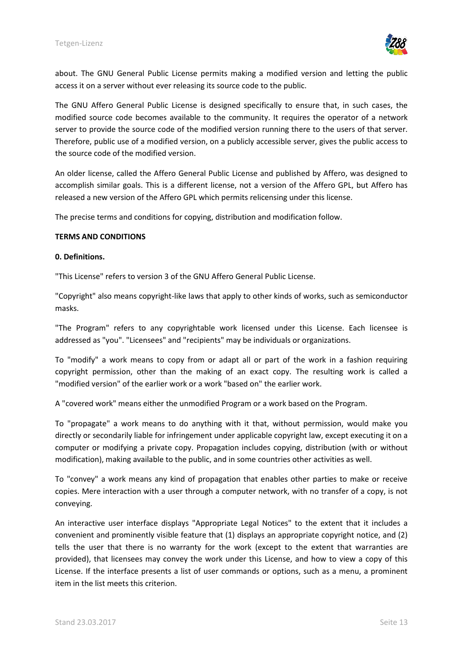

about. The GNU General Public License permits making a modified version and letting the public access it on a server without ever releasing its source code to the public.

The GNU Affero General Public License is designed specifically to ensure that, in such cases, the modified source code becomes available to the community. It requires the operator of a network server to provide the source code of the modified version running there to the users of that server. Therefore, public use of a modified version, on a publicly accessible server, gives the public access to the source code of the modified version.

An older license, called the Affero General Public License and published by Affero, was designed to accomplish similar goals. This is a different license, not a version of the Affero GPL, but Affero has released a new version of the Affero GPL which permits relicensing under this license.

The precise terms and conditions for copying, distribution and modification follow.

### **TERMS AND CONDITIONS**

#### **0. Definitions.**

"This License" refers to version 3 of the GNU Affero General Public License.

"Copyright" also means copyright-like laws that apply to other kinds of works, such as semiconductor masks.

"The Program" refers to any copyrightable work licensed under this License. Each licensee is addressed as "you". "Licensees" and "recipients" may be individuals or organizations.

To "modify" a work means to copy from or adapt all or part of the work in a fashion requiring copyright permission, other than the making of an exact copy. The resulting work is called a "modified version" of the earlier work or a work "based on" the earlier work.

A "covered work" means either the unmodified Program or a work based on the Program.

To "propagate" a work means to do anything with it that, without permission, would make you directly or secondarily liable for infringement under applicable copyright law, except executing it on a computer or modifying a private copy. Propagation includes copying, distribution (with or without modification), making available to the public, and in some countries other activities as well.

To "convey" a work means any kind of propagation that enables other parties to make or receive copies. Mere interaction with a user through a computer network, with no transfer of a copy, is not conveying.

An interactive user interface displays "Appropriate Legal Notices" to the extent that it includes a convenient and prominently visible feature that (1) displays an appropriate copyright notice, and (2) tells the user that there is no warranty for the work (except to the extent that warranties are provided), that licensees may convey the work under this License, and how to view a copy of this License. If the interface presents a list of user commands or options, such as a menu, a prominent item in the list meets this criterion.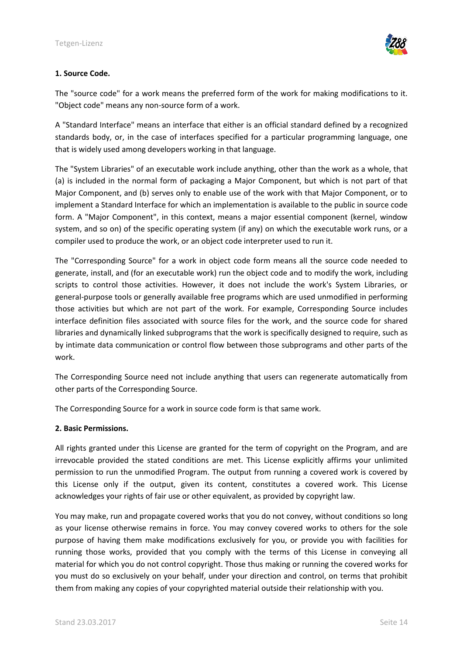

#### **1. Source Code.**

The "source code" for a work means the preferred form of the work for making modifications to it. "Object code" means any non-source form of a work.

A "Standard Interface" means an interface that either is an official standard defined by a recognized standards body, or, in the case of interfaces specified for a particular programming language, one that is widely used among developers working in that language.

The "System Libraries" of an executable work include anything, other than the work as a whole, that (a) is included in the normal form of packaging a Major Component, but which is not part of that Major Component, and (b) serves only to enable use of the work with that Major Component, or to implement a Standard Interface for which an implementation is available to the public in source code form. A "Major Component", in this context, means a major essential component (kernel, window system, and so on) of the specific operating system (if any) on which the executable work runs, or a compiler used to produce the work, or an object code interpreter used to run it.

The "Corresponding Source" for a work in object code form means all the source code needed to generate, install, and (for an executable work) run the object code and to modify the work, including scripts to control those activities. However, it does not include the work's System Libraries, or general-purpose tools or generally available free programs which are used unmodified in performing those activities but which are not part of the work. For example, Corresponding Source includes interface definition files associated with source files for the work, and the source code for shared libraries and dynamically linked subprograms that the work is specifically designed to require, such as by intimate data communication or control flow between those subprograms and other parts of the work.

The Corresponding Source need not include anything that users can regenerate automatically from other parts of the Corresponding Source.

The Corresponding Source for a work in source code form is that same work.

#### **2. Basic Permissions.**

All rights granted under this License are granted for the term of copyright on the Program, and are irrevocable provided the stated conditions are met. This License explicitly affirms your unlimited permission to run the unmodified Program. The output from running a covered work is covered by this License only if the output, given its content, constitutes a covered work. This License acknowledges your rights of fair use or other equivalent, as provided by copyright law.

You may make, run and propagate covered works that you do not convey, without conditions so long as your license otherwise remains in force. You may convey covered works to others for the sole purpose of having them make modifications exclusively for you, or provide you with facilities for running those works, provided that you comply with the terms of this License in conveying all material for which you do not control copyright. Those thus making or running the covered works for you must do so exclusively on your behalf, under your direction and control, on terms that prohibit them from making any copies of your copyrighted material outside their relationship with you.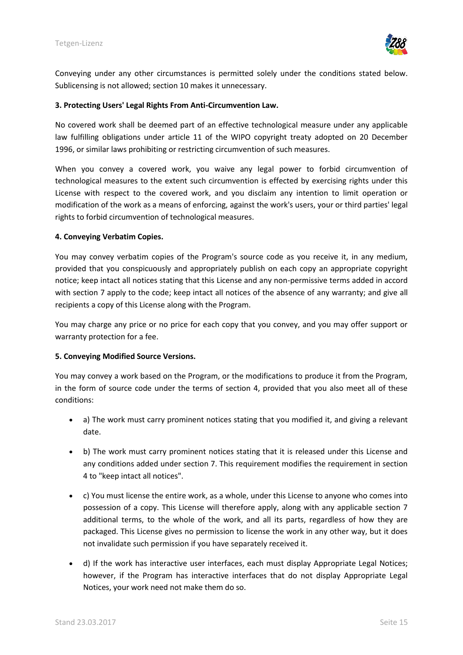

Conveying under any other circumstances is permitted solely under the conditions stated below. Sublicensing is not allowed; section 10 makes it unnecessary.

#### **3. Protecting Users' Legal Rights From Anti-Circumvention Law.**

No covered work shall be deemed part of an effective technological measure under any applicable law fulfilling obligations under article 11 of the WIPO copyright treaty adopted on 20 December 1996, or similar laws prohibiting or restricting circumvention of such measures.

When you convey a covered work, you waive any legal power to forbid circumvention of technological measures to the extent such circumvention is effected by exercising rights under this License with respect to the covered work, and you disclaim any intention to limit operation or modification of the work as a means of enforcing, against the work's users, your or third parties' legal rights to forbid circumvention of technological measures.

#### **4. Conveying Verbatim Copies.**

You may convey verbatim copies of the Program's source code as you receive it, in any medium, provided that you conspicuously and appropriately publish on each copy an appropriate copyright notice; keep intact all notices stating that this License and any non-permissive terms added in accord with section 7 apply to the code; keep intact all notices of the absence of any warranty; and give all recipients a copy of this License along with the Program.

You may charge any price or no price for each copy that you convey, and you may offer support or warranty protection for a fee.

#### **5. Conveying Modified Source Versions.**

You may convey a work based on the Program, or the modifications to produce it from the Program, in the form of source code under the terms of section 4, provided that you also meet all of these conditions:

- a) The work must carry prominent notices stating that you modified it, and giving a relevant date.
- b) The work must carry prominent notices stating that it is released under this License and any conditions added under section 7. This requirement modifies the requirement in section 4 to "keep intact all notices".
- c) You must license the entire work, as a whole, under this License to anyone who comes into possession of a copy. This License will therefore apply, along with any applicable section 7 additional terms, to the whole of the work, and all its parts, regardless of how they are packaged. This License gives no permission to license the work in any other way, but it does not invalidate such permission if you have separately received it.
- d) If the work has interactive user interfaces, each must display Appropriate Legal Notices; however, if the Program has interactive interfaces that do not display Appropriate Legal Notices, your work need not make them do so.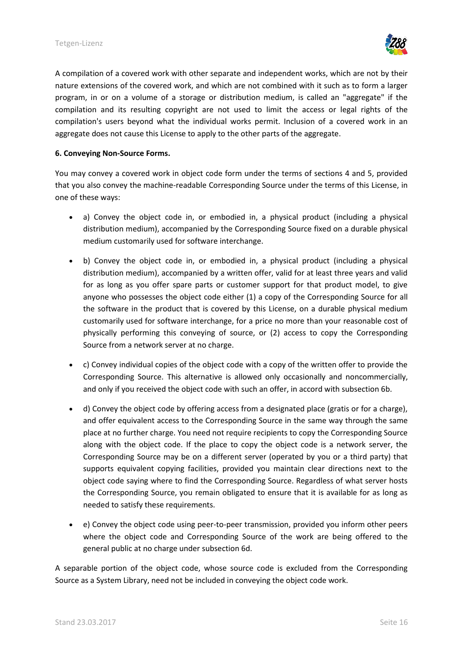

A compilation of a covered work with other separate and independent works, which are not by their nature extensions of the covered work, and which are not combined with it such as to form a larger program, in or on a volume of a storage or distribution medium, is called an "aggregate" if the compilation and its resulting copyright are not used to limit the access or legal rights of the compilation's users beyond what the individual works permit. Inclusion of a covered work in an aggregate does not cause this License to apply to the other parts of the aggregate.

#### **6. Conveying Non-Source Forms.**

You may convey a covered work in object code form under the terms of sections 4 and 5, provided that you also convey the machine-readable Corresponding Source under the terms of this License, in one of these ways:

- a) Convey the object code in, or embodied in, a physical product (including a physical distribution medium), accompanied by the Corresponding Source fixed on a durable physical medium customarily used for software interchange.
- b) Convey the object code in, or embodied in, a physical product (including a physical distribution medium), accompanied by a written offer, valid for at least three years and valid for as long as you offer spare parts or customer support for that product model, to give anyone who possesses the object code either (1) a copy of the Corresponding Source for all the software in the product that is covered by this License, on a durable physical medium customarily used for software interchange, for a price no more than your reasonable cost of physically performing this conveying of source, or (2) access to copy the Corresponding Source from a network server at no charge.
- c) Convey individual copies of the object code with a copy of the written offer to provide the Corresponding Source. This alternative is allowed only occasionally and noncommercially, and only if you received the object code with such an offer, in accord with subsection 6b.
- d) Convey the object code by offering access from a designated place (gratis or for a charge), and offer equivalent access to the Corresponding Source in the same way through the same place at no further charge. You need not require recipients to copy the Corresponding Source along with the object code. If the place to copy the object code is a network server, the Corresponding Source may be on a different server (operated by you or a third party) that supports equivalent copying facilities, provided you maintain clear directions next to the object code saying where to find the Corresponding Source. Regardless of what server hosts the Corresponding Source, you remain obligated to ensure that it is available for as long as needed to satisfy these requirements.
- e) Convey the object code using peer-to-peer transmission, provided you inform other peers where the object code and Corresponding Source of the work are being offered to the general public at no charge under subsection 6d.

A separable portion of the object code, whose source code is excluded from the Corresponding Source as a System Library, need not be included in conveying the object code work.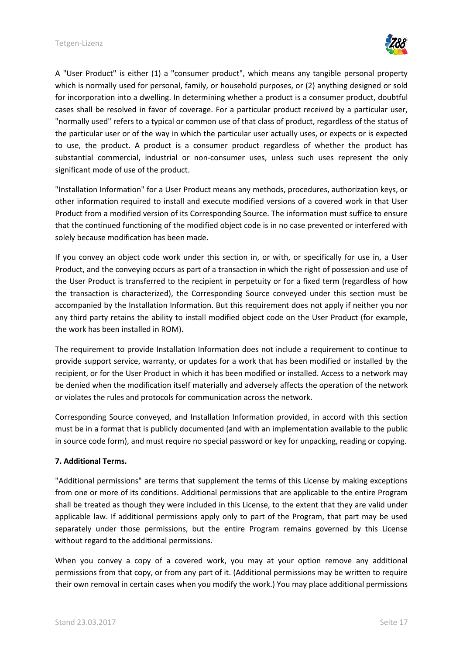

A "User Product" is either (1) a "consumer product", which means any tangible personal property which is normally used for personal, family, or household purposes, or (2) anything designed or sold for incorporation into a dwelling. In determining whether a product is a consumer product, doubtful cases shall be resolved in favor of coverage. For a particular product received by a particular user, "normally used" refers to a typical or common use of that class of product, regardless of the status of the particular user or of the way in which the particular user actually uses, or expects or is expected to use, the product. A product is a consumer product regardless of whether the product has substantial commercial, industrial or non-consumer uses, unless such uses represent the only significant mode of use of the product.

"Installation Information" for a User Product means any methods, procedures, authorization keys, or other information required to install and execute modified versions of a covered work in that User Product from a modified version of its Corresponding Source. The information must suffice to ensure that the continued functioning of the modified object code is in no case prevented or interfered with solely because modification has been made.

If you convey an object code work under this section in, or with, or specifically for use in, a User Product, and the conveying occurs as part of a transaction in which the right of possession and use of the User Product is transferred to the recipient in perpetuity or for a fixed term (regardless of how the transaction is characterized), the Corresponding Source conveyed under this section must be accompanied by the Installation Information. But this requirement does not apply if neither you nor any third party retains the ability to install modified object code on the User Product (for example, the work has been installed in ROM).

The requirement to provide Installation Information does not include a requirement to continue to provide support service, warranty, or updates for a work that has been modified or installed by the recipient, or for the User Product in which it has been modified or installed. Access to a network may be denied when the modification itself materially and adversely affects the operation of the network or violates the rules and protocols for communication across the network.

Corresponding Source conveyed, and Installation Information provided, in accord with this section must be in a format that is publicly documented (and with an implementation available to the public in source code form), and must require no special password or key for unpacking, reading or copying.

## **7. Additional Terms.**

"Additional permissions" are terms that supplement the terms of this License by making exceptions from one or more of its conditions. Additional permissions that are applicable to the entire Program shall be treated as though they were included in this License, to the extent that they are valid under applicable law. If additional permissions apply only to part of the Program, that part may be used separately under those permissions, but the entire Program remains governed by this License without regard to the additional permissions.

When you convey a copy of a covered work, you may at your option remove any additional permissions from that copy, or from any part of it. (Additional permissions may be written to require their own removal in certain cases when you modify the work.) You may place additional permissions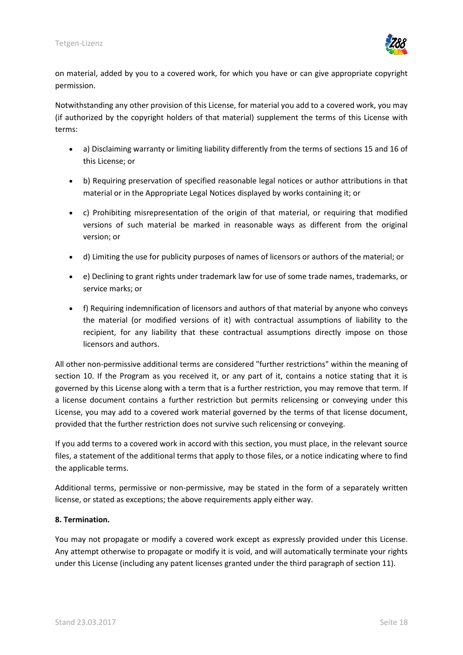

on material, added by you to a covered work, for which you have or can give appropriate copyright permission.

Notwithstanding any other provision of this License, for material you add to a covered work, you may (if authorized by the copyright holders of that material) supplement the terms of this License with terms:

- a) Disclaiming warranty or limiting liability differently from the terms of sections 15 and 16 of this License; or
- b) Requiring preservation of specified reasonable legal notices or author attributions in that material or in the Appropriate Legal Notices displayed by works containing it; or
- c) Prohibiting misrepresentation of the origin of that material, or requiring that modified versions of such material be marked in reasonable ways as different from the original version; or
- d) Limiting the use for publicity purposes of names of licensors or authors of the material; or
- e) Declining to grant rights under trademark law for use of some trade names, trademarks, or service marks; or
- f) Requiring indemnification of licensors and authors of that material by anyone who conveys the material (or modified versions of it) with contractual assumptions of liability to the recipient, for any liability that these contractual assumptions directly impose on those licensors and authors.

All other non-permissive additional terms are considered "further restrictions" within the meaning of section 10. If the Program as you received it, or any part of it, contains a notice stating that it is governed by this License along with a term that is a further restriction, you may remove that term. If a license document contains a further restriction but permits relicensing or conveying under this License, you may add to a covered work material governed by the terms of that license document, provided that the further restriction does not survive such relicensing or conveying.

If you add terms to a covered work in accord with this section, you must place, in the relevant source files, a statement of the additional terms that apply to those files, or a notice indicating where to find the applicable terms.

Additional terms, permissive or non-permissive, may be stated in the form of a separately written license, or stated as exceptions; the above requirements apply either way.

## **8. Termination.**

You may not propagate or modify a covered work except as expressly provided under this License. Any attempt otherwise to propagate or modify it is void, and will automatically terminate your rights under this License (including any patent licenses granted under the third paragraph of section 11).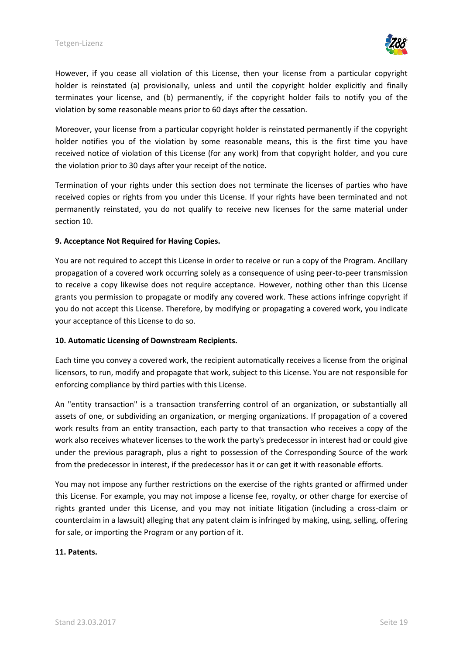

However, if you cease all violation of this License, then your license from a particular copyright holder is reinstated (a) provisionally, unless and until the copyright holder explicitly and finally terminates your license, and (b) permanently, if the copyright holder fails to notify you of the violation by some reasonable means prior to 60 days after the cessation.

Moreover, your license from a particular copyright holder is reinstated permanently if the copyright holder notifies you of the violation by some reasonable means, this is the first time you have received notice of violation of this License (for any work) from that copyright holder, and you cure the violation prior to 30 days after your receipt of the notice.

Termination of your rights under this section does not terminate the licenses of parties who have received copies or rights from you under this License. If your rights have been terminated and not permanently reinstated, you do not qualify to receive new licenses for the same material under section 10.

## **9. Acceptance Not Required for Having Copies.**

You are not required to accept this License in order to receive or run a copy of the Program. Ancillary propagation of a covered work occurring solely as a consequence of using peer-to-peer transmission to receive a copy likewise does not require acceptance. However, nothing other than this License grants you permission to propagate or modify any covered work. These actions infringe copyright if you do not accept this License. Therefore, by modifying or propagating a covered work, you indicate your acceptance of this License to do so.

#### **10. Automatic Licensing of Downstream Recipients.**

Each time you convey a covered work, the recipient automatically receives a license from the original licensors, to run, modify and propagate that work, subject to this License. You are not responsible for enforcing compliance by third parties with this License.

An "entity transaction" is a transaction transferring control of an organization, or substantially all assets of one, or subdividing an organization, or merging organizations. If propagation of a covered work results from an entity transaction, each party to that transaction who receives a copy of the work also receives whatever licenses to the work the party's predecessor in interest had or could give under the previous paragraph, plus a right to possession of the Corresponding Source of the work from the predecessor in interest, if the predecessor has it or can get it with reasonable efforts.

You may not impose any further restrictions on the exercise of the rights granted or affirmed under this License. For example, you may not impose a license fee, royalty, or other charge for exercise of rights granted under this License, and you may not initiate litigation (including a cross-claim or counterclaim in a lawsuit) alleging that any patent claim is infringed by making, using, selling, offering for sale, or importing the Program or any portion of it.

#### **11. Patents.**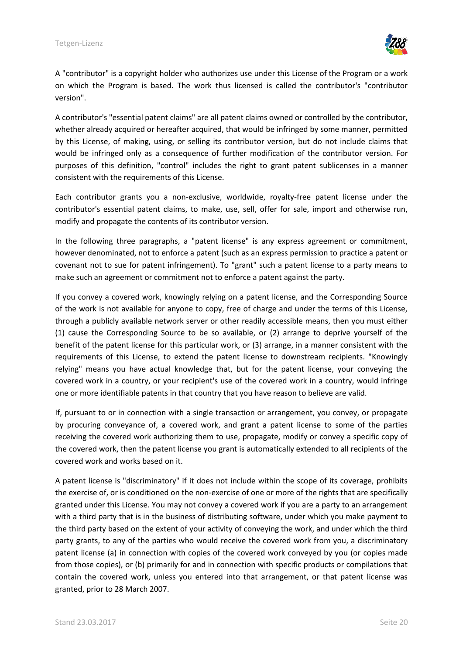

A "contributor" is a copyright holder who authorizes use under this License of the Program or a work on which the Program is based. The work thus licensed is called the contributor's "contributor version".

A contributor's "essential patent claims" are all patent claims owned or controlled by the contributor, whether already acquired or hereafter acquired, that would be infringed by some manner, permitted by this License, of making, using, or selling its contributor version, but do not include claims that would be infringed only as a consequence of further modification of the contributor version. For purposes of this definition, "control" includes the right to grant patent sublicenses in a manner consistent with the requirements of this License.

Each contributor grants you a non-exclusive, worldwide, royalty-free patent license under the contributor's essential patent claims, to make, use, sell, offer for sale, import and otherwise run, modify and propagate the contents of its contributor version.

In the following three paragraphs, a "patent license" is any express agreement or commitment, however denominated, not to enforce a patent (such as an express permission to practice a patent or covenant not to sue for patent infringement). To "grant" such a patent license to a party means to make such an agreement or commitment not to enforce a patent against the party.

If you convey a covered work, knowingly relying on a patent license, and the Corresponding Source of the work is not available for anyone to copy, free of charge and under the terms of this License, through a publicly available network server or other readily accessible means, then you must either (1) cause the Corresponding Source to be so available, or (2) arrange to deprive yourself of the benefit of the patent license for this particular work, or (3) arrange, in a manner consistent with the requirements of this License, to extend the patent license to downstream recipients. "Knowingly relying" means you have actual knowledge that, but for the patent license, your conveying the covered work in a country, or your recipient's use of the covered work in a country, would infringe one or more identifiable patents in that country that you have reason to believe are valid.

If, pursuant to or in connection with a single transaction or arrangement, you convey, or propagate by procuring conveyance of, a covered work, and grant a patent license to some of the parties receiving the covered work authorizing them to use, propagate, modify or convey a specific copy of the covered work, then the patent license you grant is automatically extended to all recipients of the covered work and works based on it.

A patent license is "discriminatory" if it does not include within the scope of its coverage, prohibits the exercise of, or is conditioned on the non-exercise of one or more of the rights that are specifically granted under this License. You may not convey a covered work if you are a party to an arrangement with a third party that is in the business of distributing software, under which you make payment to the third party based on the extent of your activity of conveying the work, and under which the third party grants, to any of the parties who would receive the covered work from you, a discriminatory patent license (a) in connection with copies of the covered work conveyed by you (or copies made from those copies), or (b) primarily for and in connection with specific products or compilations that contain the covered work, unless you entered into that arrangement, or that patent license was granted, prior to 28 March 2007.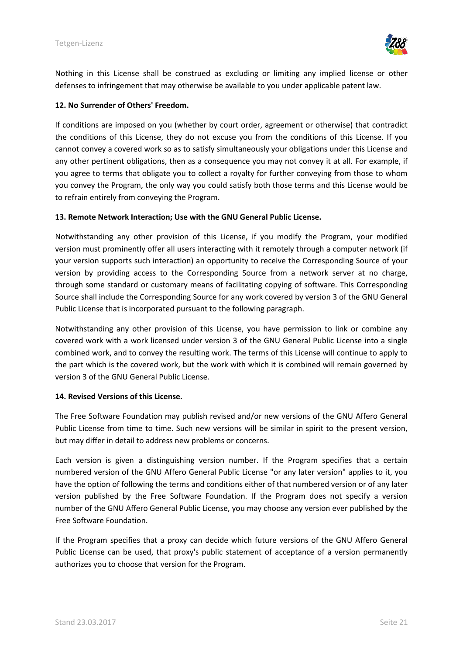

Nothing in this License shall be construed as excluding or limiting any implied license or other defenses to infringement that may otherwise be available to you under applicable patent law.

#### **12. No Surrender of Others' Freedom.**

If conditions are imposed on you (whether by court order, agreement or otherwise) that contradict the conditions of this License, they do not excuse you from the conditions of this License. If you cannot convey a covered work so as to satisfy simultaneously your obligations under this License and any other pertinent obligations, then as a consequence you may not convey it at all. For example, if you agree to terms that obligate you to collect a royalty for further conveying from those to whom you convey the Program, the only way you could satisfy both those terms and this License would be to refrain entirely from conveying the Program.

#### **13. Remote Network Interaction; Use with the GNU General Public License.**

Notwithstanding any other provision of this License, if you modify the Program, your modified version must prominently offer all users interacting with it remotely through a computer network (if your version supports such interaction) an opportunity to receive the Corresponding Source of your version by providing access to the Corresponding Source from a network server at no charge, through some standard or customary means of facilitating copying of software. This Corresponding Source shall include the Corresponding Source for any work covered by version 3 of the GNU General Public License that is incorporated pursuant to the following paragraph.

Notwithstanding any other provision of this License, you have permission to link or combine any covered work with a work licensed under version 3 of the GNU General Public License into a single combined work, and to convey the resulting work. The terms of this License will continue to apply to the part which is the covered work, but the work with which it is combined will remain governed by version 3 of the GNU General Public License.

#### **14. Revised Versions of this License.**

The Free Software Foundation may publish revised and/or new versions of the GNU Affero General Public License from time to time. Such new versions will be similar in spirit to the present version, but may differ in detail to address new problems or concerns.

Each version is given a distinguishing version number. If the Program specifies that a certain numbered version of the GNU Affero General Public License "or any later version" applies to it, you have the option of following the terms and conditions either of that numbered version or of any later version published by the Free Software Foundation. If the Program does not specify a version number of the GNU Affero General Public License, you may choose any version ever published by the Free Software Foundation.

If the Program specifies that a proxy can decide which future versions of the GNU Affero General Public License can be used, that proxy's public statement of acceptance of a version permanently authorizes you to choose that version for the Program.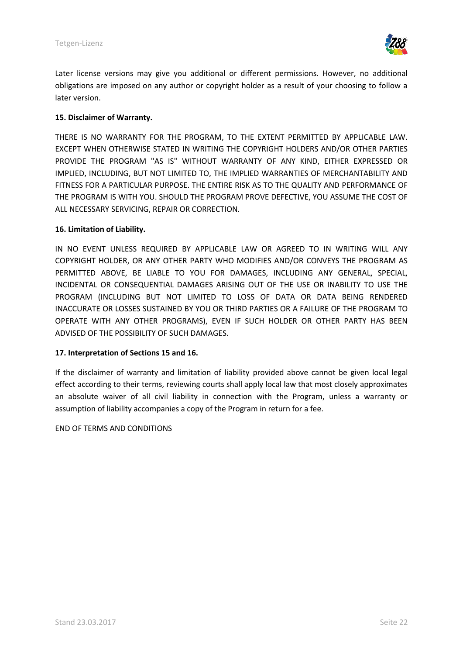

Later license versions may give you additional or different permissions. However, no additional obligations are imposed on any author or copyright holder as a result of your choosing to follow a later version.

### **15. Disclaimer of Warranty.**

THERE IS NO WARRANTY FOR THE PROGRAM, TO THE EXTENT PERMITTED BY APPLICABLE LAW. EXCEPT WHEN OTHERWISE STATED IN WRITING THE COPYRIGHT HOLDERS AND/OR OTHER PARTIES PROVIDE THE PROGRAM "AS IS" WITHOUT WARRANTY OF ANY KIND, EITHER EXPRESSED OR IMPLIED, INCLUDING, BUT NOT LIMITED TO, THE IMPLIED WARRANTIES OF MERCHANTABILITY AND FITNESS FOR A PARTICULAR PURPOSE. THE ENTIRE RISK AS TO THE QUALITY AND PERFORMANCE OF THE PROGRAM IS WITH YOU. SHOULD THE PROGRAM PROVE DEFECTIVE, YOU ASSUME THE COST OF ALL NECESSARY SERVICING, REPAIR OR CORRECTION.

#### **16. Limitation of Liability.**

IN NO EVENT UNLESS REQUIRED BY APPLICABLE LAW OR AGREED TO IN WRITING WILL ANY COPYRIGHT HOLDER, OR ANY OTHER PARTY WHO MODIFIES AND/OR CONVEYS THE PROGRAM AS PERMITTED ABOVE, BE LIABLE TO YOU FOR DAMAGES, INCLUDING ANY GENERAL, SPECIAL, INCIDENTAL OR CONSEQUENTIAL DAMAGES ARISING OUT OF THE USE OR INABILITY TO USE THE PROGRAM (INCLUDING BUT NOT LIMITED TO LOSS OF DATA OR DATA BEING RENDERED INACCURATE OR LOSSES SUSTAINED BY YOU OR THIRD PARTIES OR A FAILURE OF THE PROGRAM TO OPERATE WITH ANY OTHER PROGRAMS), EVEN IF SUCH HOLDER OR OTHER PARTY HAS BEEN ADVISED OF THE POSSIBILITY OF SUCH DAMAGES.

#### **17. Interpretation of Sections 15 and 16.**

If the disclaimer of warranty and limitation of liability provided above cannot be given local legal effect according to their terms, reviewing courts shall apply local law that most closely approximates an absolute waiver of all civil liability in connection with the Program, unless a warranty or assumption of liability accompanies a copy of the Program in return for a fee.

#### END OF TERMS AND CONDITIONS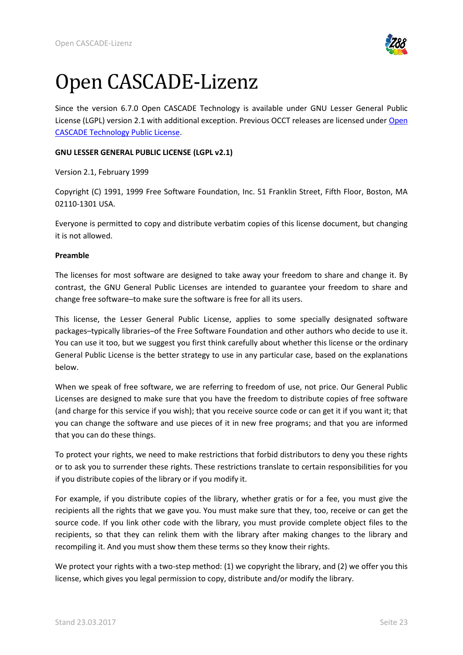<span id="page-22-0"></span>

# Open CASCADE-Lizenz

Since the version 6.7.0 Open CASCADE Technology is available under GNU Lesser General Public License (LGPL) version 2.1 with additional exception. Previous OCCT releases are licensed under [Open](http://www.opencascade.org/getocc/license/license_old/)  [CASCADE Technology Public License.](http://www.opencascade.org/getocc/license/license_old/)

### **GNU LESSER GENERAL PUBLIC LICENSE (LGPL v2.1)**

Version 2.1, February 1999

Copyright (C) 1991, 1999 Free Software Foundation, Inc. 51 Franklin Street, Fifth Floor, Boston, MA 02110-1301 USA.

Everyone is permitted to copy and distribute verbatim copies of this license document, but changing it is not allowed.

#### **Preamble**

The licenses for most software are designed to take away your freedom to share and change it. By contrast, the GNU General Public Licenses are intended to guarantee your freedom to share and change free software–to make sure the software is free for all its users.

This license, the Lesser General Public License, applies to some specially designated software packages–typically libraries–of the Free Software Foundation and other authors who decide to use it. You can use it too, but we suggest you first think carefully about whether this license or the ordinary General Public License is the better strategy to use in any particular case, based on the explanations below.

When we speak of free software, we are referring to freedom of use, not price. Our General Public Licenses are designed to make sure that you have the freedom to distribute copies of free software (and charge for this service if you wish); that you receive source code or can get it if you want it; that you can change the software and use pieces of it in new free programs; and that you are informed that you can do these things.

To protect your rights, we need to make restrictions that forbid distributors to deny you these rights or to ask you to surrender these rights. These restrictions translate to certain responsibilities for you if you distribute copies of the library or if you modify it.

For example, if you distribute copies of the library, whether gratis or for a fee, you must give the recipients all the rights that we gave you. You must make sure that they, too, receive or can get the source code. If you link other code with the library, you must provide complete object files to the recipients, so that they can relink them with the library after making changes to the library and recompiling it. And you must show them these terms so they know their rights.

We protect your rights with a two-step method: (1) we copyright the library, and (2) we offer you this license, which gives you legal permission to copy, distribute and/or modify the library.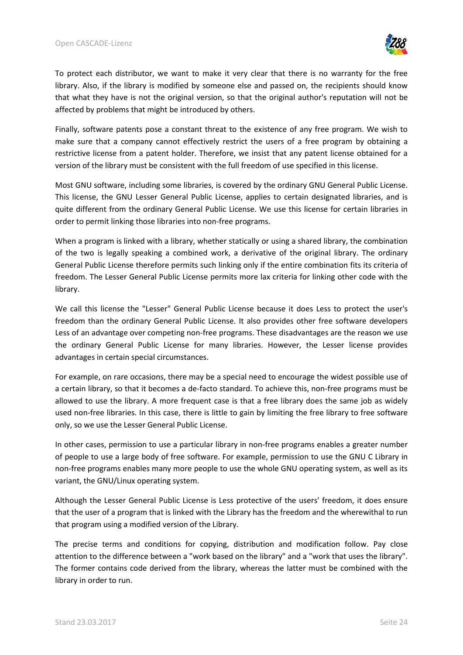

To protect each distributor, we want to make it very clear that there is no warranty for the free library. Also, if the library is modified by someone else and passed on, the recipients should know that what they have is not the original version, so that the original author's reputation will not be affected by problems that might be introduced by others.

Finally, software patents pose a constant threat to the existence of any free program. We wish to make sure that a company cannot effectively restrict the users of a free program by obtaining a restrictive license from a patent holder. Therefore, we insist that any patent license obtained for a version of the library must be consistent with the full freedom of use specified in this license.

Most GNU software, including some libraries, is covered by the ordinary GNU General Public License. This license, the GNU Lesser General Public License, applies to certain designated libraries, and is quite different from the ordinary General Public License. We use this license for certain libraries in order to permit linking those libraries into non-free programs.

When a program is linked with a library, whether statically or using a shared library, the combination of the two is legally speaking a combined work, a derivative of the original library. The ordinary General Public License therefore permits such linking only if the entire combination fits its criteria of freedom. The Lesser General Public License permits more lax criteria for linking other code with the library.

We call this license the "Lesser" General Public License because it does Less to protect the user's freedom than the ordinary General Public License. It also provides other free software developers Less of an advantage over competing non-free programs. These disadvantages are the reason we use the ordinary General Public License for many libraries. However, the Lesser license provides advantages in certain special circumstances.

For example, on rare occasions, there may be a special need to encourage the widest possible use of a certain library, so that it becomes a de-facto standard. To achieve this, non-free programs must be allowed to use the library. A more frequent case is that a free library does the same job as widely used non-free libraries. In this case, there is little to gain by limiting the free library to free software only, so we use the Lesser General Public License.

In other cases, permission to use a particular library in non-free programs enables a greater number of people to use a large body of free software. For example, permission to use the GNU C Library in non-free programs enables many more people to use the whole GNU operating system, as well as its variant, the GNU/Linux operating system.

Although the Lesser General Public License is Less protective of the users' freedom, it does ensure that the user of a program that is linked with the Library has the freedom and the wherewithal to run that program using a modified version of the Library.

The precise terms and conditions for copying, distribution and modification follow. Pay close attention to the difference between a "work based on the library" and a "work that uses the library". The former contains code derived from the library, whereas the latter must be combined with the library in order to run.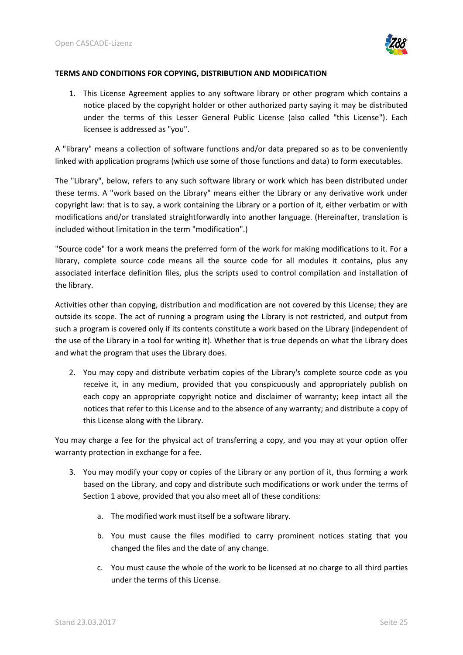

#### **TERMS AND CONDITIONS FOR COPYING, DISTRIBUTION AND MODIFICATION**

1. This License Agreement applies to any software library or other program which contains a notice placed by the copyright holder or other authorized party saying it may be distributed under the terms of this Lesser General Public License (also called "this License"). Each licensee is addressed as "you".

A "library" means a collection of software functions and/or data prepared so as to be conveniently linked with application programs (which use some of those functions and data) to form executables.

The "Library", below, refers to any such software library or work which has been distributed under these terms. A "work based on the Library" means either the Library or any derivative work under copyright law: that is to say, a work containing the Library or a portion of it, either verbatim or with modifications and/or translated straightforwardly into another language. (Hereinafter, translation is included without limitation in the term "modification".)

"Source code" for a work means the preferred form of the work for making modifications to it. For a library, complete source code means all the source code for all modules it contains, plus any associated interface definition files, plus the scripts used to control compilation and installation of the library.

Activities other than copying, distribution and modification are not covered by this License; they are outside its scope. The act of running a program using the Library is not restricted, and output from such a program is covered only if its contents constitute a work based on the Library (independent of the use of the Library in a tool for writing it). Whether that is true depends on what the Library does and what the program that uses the Library does.

2. You may copy and distribute verbatim copies of the Library's complete source code as you receive it, in any medium, provided that you conspicuously and appropriately publish on each copy an appropriate copyright notice and disclaimer of warranty; keep intact all the notices that refer to this License and to the absence of any warranty; and distribute a copy of this License along with the Library.

You may charge a fee for the physical act of transferring a copy, and you may at your option offer warranty protection in exchange for a fee.

- 3. You may modify your copy or copies of the Library or any portion of it, thus forming a work based on the Library, and copy and distribute such modifications or work under the terms of Section 1 above, provided that you also meet all of these conditions:
	- a. The modified work must itself be a software library.
	- b. You must cause the files modified to carry prominent notices stating that you changed the files and the date of any change.
	- c. You must cause the whole of the work to be licensed at no charge to all third parties under the terms of this License.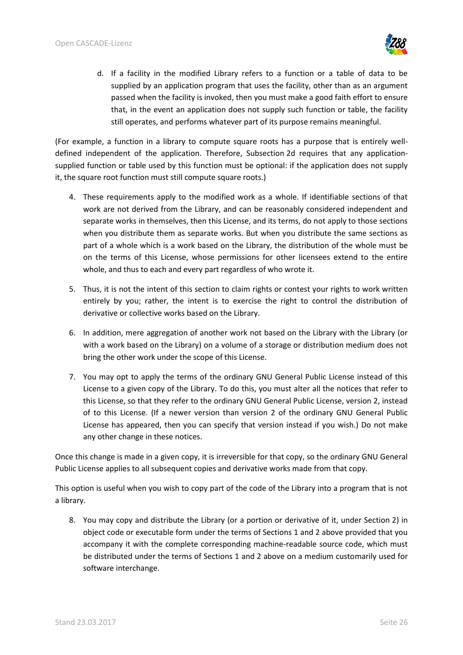

d. If a facility in the modified Library refers to a function or a table of data to be supplied by an application program that uses the facility, other than as an argument passed when the facility is invoked, then you must make a good faith effort to ensure that, in the event an application does not supply such function or table, the facility still operates, and performs whatever part of its purpose remains meaningful.

(For example, a function in a library to compute square roots has a purpose that is entirely welldefined independent of the application. Therefore, Subsection 2d requires that any applicationsupplied function or table used by this function must be optional: if the application does not supply it, the square root function must still compute square roots.)

- 4. These requirements apply to the modified work as a whole. If identifiable sections of that work are not derived from the Library, and can be reasonably considered independent and separate works in themselves, then this License, and its terms, do not apply to those sections when you distribute them as separate works. But when you distribute the same sections as part of a whole which is a work based on the Library, the distribution of the whole must be on the terms of this License, whose permissions for other licensees extend to the entire whole, and thus to each and every part regardless of who wrote it.
- 5. Thus, it is not the intent of this section to claim rights or contest your rights to work written entirely by you; rather, the intent is to exercise the right to control the distribution of derivative or collective works based on the Library.
- 6. In addition, mere aggregation of another work not based on the Library with the Library (or with a work based on the Library) on a volume of a storage or distribution medium does not bring the other work under the scope of this License.
- 7. You may opt to apply the terms of the ordinary GNU General Public License instead of this License to a given copy of the Library. To do this, you must alter all the notices that refer to this License, so that they refer to the ordinary GNU General Public License, version 2, instead of to this License. (If a newer version than version 2 of the ordinary GNU General Public License has appeared, then you can specify that version instead if you wish.) Do not make any other change in these notices.

Once this change is made in a given copy, it is irreversible for that copy, so the ordinary GNU General Public License applies to all subsequent copies and derivative works made from that copy.

This option is useful when you wish to copy part of the code of the Library into a program that is not a library.

8. You may copy and distribute the Library (or a portion or derivative of it, under Section 2) in object code or executable form under the terms of Sections 1 and 2 above provided that you accompany it with the complete corresponding machine-readable source code, which must be distributed under the terms of Sections 1 and 2 above on a medium customarily used for software interchange.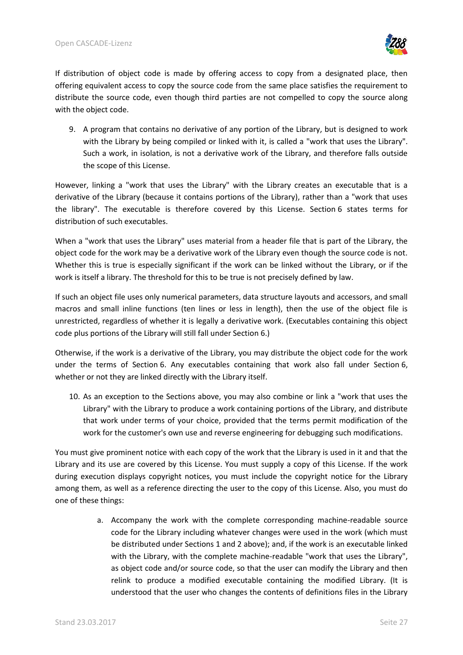

If distribution of object code is made by offering access to copy from a designated place, then offering equivalent access to copy the source code from the same place satisfies the requirement to distribute the source code, even though third parties are not compelled to copy the source along with the object code.

9. A program that contains no derivative of any portion of the Library, but is designed to work with the Library by being compiled or linked with it, is called a "work that uses the Library". Such a work, in isolation, is not a derivative work of the Library, and therefore falls outside the scope of this License.

However, linking a "work that uses the Library" with the Library creates an executable that is a derivative of the Library (because it contains portions of the Library), rather than a "work that uses the library". The executable is therefore covered by this License. Section 6 states terms for distribution of such executables.

When a "work that uses the Library" uses material from a header file that is part of the Library, the object code for the work may be a derivative work of the Library even though the source code is not. Whether this is true is especially significant if the work can be linked without the Library, or if the work is itself a library. The threshold for this to be true is not precisely defined by law.

If such an object file uses only numerical parameters, data structure layouts and accessors, and small macros and small inline functions (ten lines or less in length), then the use of the object file is unrestricted, regardless of whether it is legally a derivative work. (Executables containing this object code plus portions of the Library will still fall under Section 6.)

Otherwise, if the work is a derivative of the Library, you may distribute the object code for the work under the terms of Section 6. Any executables containing that work also fall under Section 6, whether or not they are linked directly with the Library itself.

10. As an exception to the Sections above, you may also combine or link a "work that uses the Library" with the Library to produce a work containing portions of the Library, and distribute that work under terms of your choice, provided that the terms permit modification of the work for the customer's own use and reverse engineering for debugging such modifications.

You must give prominent notice with each copy of the work that the Library is used in it and that the Library and its use are covered by this License. You must supply a copy of this License. If the work during execution displays copyright notices, you must include the copyright notice for the Library among them, as well as a reference directing the user to the copy of this License. Also, you must do one of these things:

> a. Accompany the work with the complete corresponding machine-readable source code for the Library including whatever changes were used in the work (which must be distributed under Sections 1 and 2 above); and, if the work is an executable linked with the Library, with the complete machine-readable "work that uses the Library", as object code and/or source code, so that the user can modify the Library and then relink to produce a modified executable containing the modified Library. (It is understood that the user who changes the contents of definitions files in the Library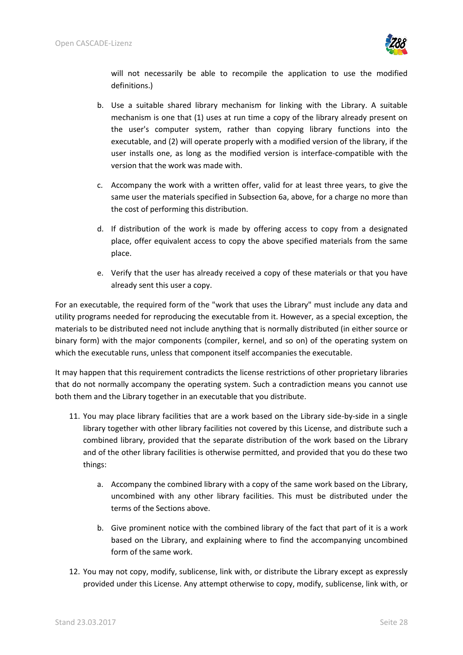

will not necessarily be able to recompile the application to use the modified definitions.)

- b. Use a suitable shared library mechanism for linking with the Library. A suitable mechanism is one that (1) uses at run time a copy of the library already present on the user's computer system, rather than copying library functions into the executable, and (2) will operate properly with a modified version of the library, if the user installs one, as long as the modified version is interface-compatible with the version that the work was made with.
- c. Accompany the work with a written offer, valid for at least three years, to give the same user the materials specified in Subsection 6a, above, for a charge no more than the cost of performing this distribution.
- d. If distribution of the work is made by offering access to copy from a designated place, offer equivalent access to copy the above specified materials from the same place.
- e. Verify that the user has already received a copy of these materials or that you have already sent this user a copy.

For an executable, the required form of the "work that uses the Library" must include any data and utility programs needed for reproducing the executable from it. However, as a special exception, the materials to be distributed need not include anything that is normally distributed (in either source or binary form) with the major components (compiler, kernel, and so on) of the operating system on which the executable runs, unless that component itself accompanies the executable.

It may happen that this requirement contradicts the license restrictions of other proprietary libraries that do not normally accompany the operating system. Such a contradiction means you cannot use both them and the Library together in an executable that you distribute.

- 11. You may place library facilities that are a work based on the Library side-by-side in a single library together with other library facilities not covered by this License, and distribute such a combined library, provided that the separate distribution of the work based on the Library and of the other library facilities is otherwise permitted, and provided that you do these two things:
	- a. Accompany the combined library with a copy of the same work based on the Library, uncombined with any other library facilities. This must be distributed under the terms of the Sections above.
	- b. Give prominent notice with the combined library of the fact that part of it is a work based on the Library, and explaining where to find the accompanying uncombined form of the same work.
- 12. You may not copy, modify, sublicense, link with, or distribute the Library except as expressly provided under this License. Any attempt otherwise to copy, modify, sublicense, link with, or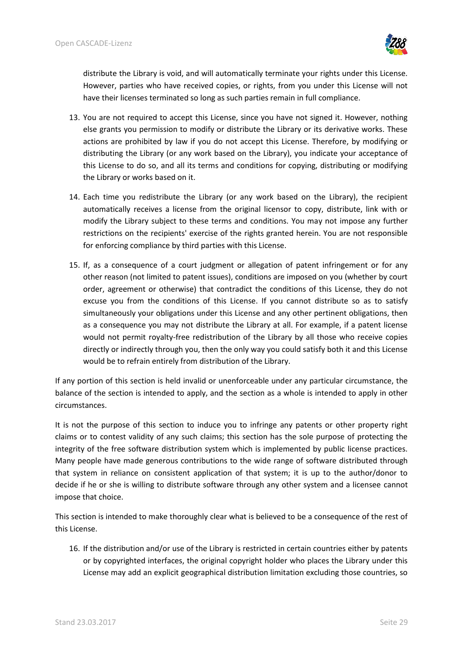

distribute the Library is void, and will automatically terminate your rights under this License. However, parties who have received copies, or rights, from you under this License will not have their licenses terminated so long as such parties remain in full compliance.

- 13. You are not required to accept this License, since you have not signed it. However, nothing else grants you permission to modify or distribute the Library or its derivative works. These actions are prohibited by law if you do not accept this License. Therefore, by modifying or distributing the Library (or any work based on the Library), you indicate your acceptance of this License to do so, and all its terms and conditions for copying, distributing or modifying the Library or works based on it.
- 14. Each time you redistribute the Library (or any work based on the Library), the recipient automatically receives a license from the original licensor to copy, distribute, link with or modify the Library subject to these terms and conditions. You may not impose any further restrictions on the recipients' exercise of the rights granted herein. You are not responsible for enforcing compliance by third parties with this License.
- 15. If, as a consequence of a court judgment or allegation of patent infringement or for any other reason (not limited to patent issues), conditions are imposed on you (whether by court order, agreement or otherwise) that contradict the conditions of this License, they do not excuse you from the conditions of this License. If you cannot distribute so as to satisfy simultaneously your obligations under this License and any other pertinent obligations, then as a consequence you may not distribute the Library at all. For example, if a patent license would not permit royalty-free redistribution of the Library by all those who receive copies directly or indirectly through you, then the only way you could satisfy both it and this License would be to refrain entirely from distribution of the Library.

If any portion of this section is held invalid or unenforceable under any particular circumstance, the balance of the section is intended to apply, and the section as a whole is intended to apply in other circumstances.

It is not the purpose of this section to induce you to infringe any patents or other property right claims or to contest validity of any such claims; this section has the sole purpose of protecting the integrity of the free software distribution system which is implemented by public license practices. Many people have made generous contributions to the wide range of software distributed through that system in reliance on consistent application of that system; it is up to the author/donor to decide if he or she is willing to distribute software through any other system and a licensee cannot impose that choice.

This section is intended to make thoroughly clear what is believed to be a consequence of the rest of this License.

16. If the distribution and/or use of the Library is restricted in certain countries either by patents or by copyrighted interfaces, the original copyright holder who places the Library under this License may add an explicit geographical distribution limitation excluding those countries, so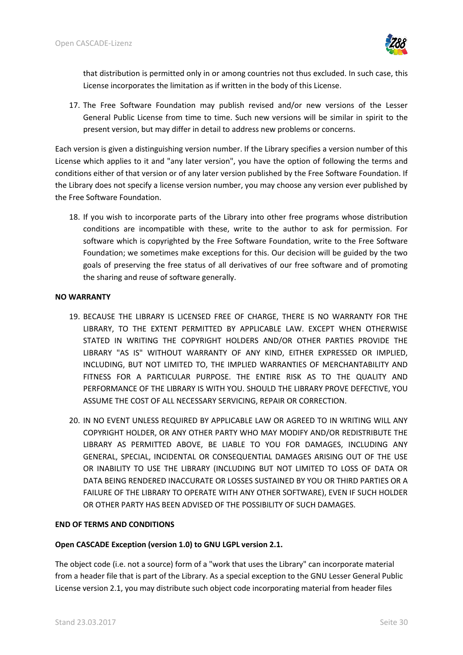

that distribution is permitted only in or among countries not thus excluded. In such case, this License incorporates the limitation as if written in the body of this License.

17. The Free Software Foundation may publish revised and/or new versions of the Lesser General Public License from time to time. Such new versions will be similar in spirit to the present version, but may differ in detail to address new problems or concerns.

Each version is given a distinguishing version number. If the Library specifies a version number of this License which applies to it and "any later version", you have the option of following the terms and conditions either of that version or of any later version published by the Free Software Foundation. If the Library does not specify a license version number, you may choose any version ever published by the Free Software Foundation.

18. If you wish to incorporate parts of the Library into other free programs whose distribution conditions are incompatible with these, write to the author to ask for permission. For software which is copyrighted by the Free Software Foundation, write to the Free Software Foundation; we sometimes make exceptions for this. Our decision will be guided by the two goals of preserving the free status of all derivatives of our free software and of promoting the sharing and reuse of software generally.

## **NO WARRANTY**

- 19. BECAUSE THE LIBRARY IS LICENSED FREE OF CHARGE, THERE IS NO WARRANTY FOR THE LIBRARY, TO THE EXTENT PERMITTED BY APPLICABLE LAW. EXCEPT WHEN OTHERWISE STATED IN WRITING THE COPYRIGHT HOLDERS AND/OR OTHER PARTIES PROVIDE THE LIBRARY "AS IS" WITHOUT WARRANTY OF ANY KIND, EITHER EXPRESSED OR IMPLIED, INCLUDING, BUT NOT LIMITED TO, THE IMPLIED WARRANTIES OF MERCHANTABILITY AND FITNESS FOR A PARTICULAR PURPOSE. THE ENTIRE RISK AS TO THE QUALITY AND PERFORMANCE OF THE LIBRARY IS WITH YOU. SHOULD THE LIBRARY PROVE DEFECTIVE, YOU ASSUME THE COST OF ALL NECESSARY SERVICING, REPAIR OR CORRECTION.
- 20. IN NO EVENT UNLESS REQUIRED BY APPLICABLE LAW OR AGREED TO IN WRITING WILL ANY COPYRIGHT HOLDER, OR ANY OTHER PARTY WHO MAY MODIFY AND/OR REDISTRIBUTE THE LIBRARY AS PERMITTED ABOVE, BE LIABLE TO YOU FOR DAMAGES, INCLUDING ANY GENERAL, SPECIAL, INCIDENTAL OR CONSEQUENTIAL DAMAGES ARISING OUT OF THE USE OR INABILITY TO USE THE LIBRARY (INCLUDING BUT NOT LIMITED TO LOSS OF DATA OR DATA BEING RENDERED INACCURATE OR LOSSES SUSTAINED BY YOU OR THIRD PARTIES OR A FAILURE OF THE LIBRARY TO OPERATE WITH ANY OTHER SOFTWARE), EVEN IF SUCH HOLDER OR OTHER PARTY HAS BEEN ADVISED OF THE POSSIBILITY OF SUCH DAMAGES.

## **END OF TERMS AND CONDITIONS**

## **Open CASCADE Exception (version 1.0) to GNU LGPL version 2.1.**

The object code (i.e. not a source) form of a "work that uses the Library" can incorporate material from a header file that is part of the Library. As a special exception to the GNU Lesser General Public License version 2.1, you may distribute such object code incorporating material from header files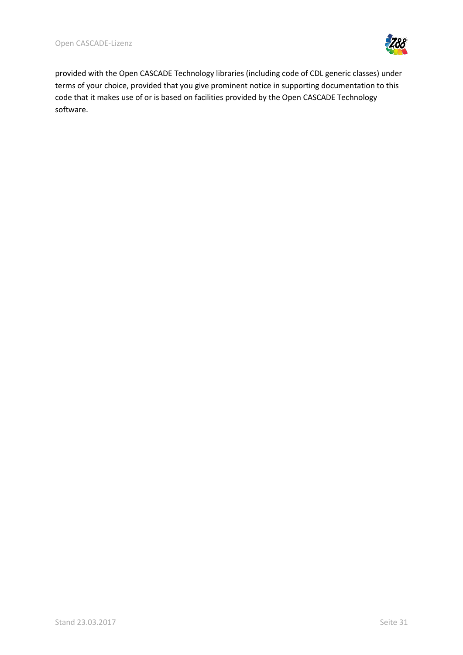

provided with the Open CASCADE Technology libraries (including code of CDL generic classes) under terms of your choice, provided that you give prominent notice in supporting documentation to this code that it makes use of or is based on facilities provided by the Open CASCADE Technology software.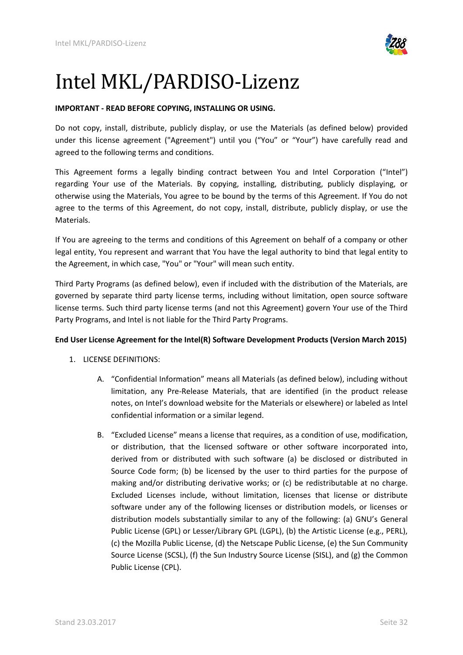<span id="page-31-0"></span>

# Intel MKL/PARDISO-Lizenz

## **IMPORTANT - READ BEFORE COPYING, INSTALLING OR USING.**

Do not copy, install, distribute, publicly display, or use the Materials (as defined below) provided under this license agreement ("Agreement") until you ("You" or "Your") have carefully read and agreed to the following terms and conditions.

This Agreement forms a legally binding contract between You and Intel Corporation ("Intel") regarding Your use of the Materials. By copying, installing, distributing, publicly displaying, or otherwise using the Materials, You agree to be bound by the terms of this Agreement. If You do not agree to the terms of this Agreement, do not copy, install, distribute, publicly display, or use the Materials.

If You are agreeing to the terms and conditions of this Agreement on behalf of a company or other legal entity, You represent and warrant that You have the legal authority to bind that legal entity to the Agreement, in which case, "You" or "Your" will mean such entity.

Third Party Programs (as defined below), even if included with the distribution of the Materials, are governed by separate third party license terms, including without limitation, open source software license terms. Such third party license terms (and not this Agreement) govern Your use of the Third Party Programs, and Intel is not liable for the Third Party Programs.

## **End User License Agreement for the Intel(R) Software Development Products (Version March 2015)**

- 1. LICENSE DEFINITIONS:
	- A. "Confidential Information" means all Materials (as defined below), including without limitation, any Pre-Release Materials, that are identified (in the product release notes, on Intel's download website for the Materials or elsewhere) or labeled as Intel confidential information or a similar legend.
	- B. "Excluded License" means a license that requires, as a condition of use, modification, or distribution, that the licensed software or other software incorporated into, derived from or distributed with such software (a) be disclosed or distributed in Source Code form; (b) be licensed by the user to third parties for the purpose of making and/or distributing derivative works; or (c) be redistributable at no charge. Excluded Licenses include, without limitation, licenses that license or distribute software under any of the following licenses or distribution models, or licenses or distribution models substantially similar to any of the following: (a) GNU's General Public License (GPL) or Lesser/Library GPL (LGPL), (b) the Artistic License (e.g., PERL), (c) the Mozilla Public License, (d) the Netscape Public License, (e) the Sun Community Source License (SCSL), (f) the Sun Industry Source License (SISL), and (g) the Common Public License (CPL).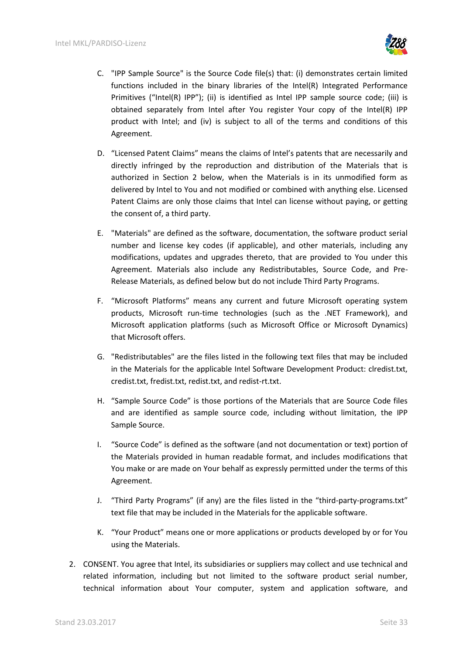

- C. "IPP Sample Source" is the Source Code file(s) that: (i) demonstrates certain limited functions included in the binary libraries of the Intel(R) Integrated Performance Primitives ("Intel(R) IPP"); (ii) is identified as Intel IPP sample source code; (iii) is obtained separately from Intel after You register Your copy of the Intel(R) IPP product with Intel; and (iv) is subject to all of the terms and conditions of this Agreement.
- D. "Licensed Patent Claims" means the claims of Intel's patents that are necessarily and directly infringed by the reproduction and distribution of the Materials that is authorized in Section 2 below, when the Materials is in its unmodified form as delivered by Intel to You and not modified or combined with anything else. Licensed Patent Claims are only those claims that Intel can license without paying, or getting the consent of, a third party.
- E. "Materials" are defined as the software, documentation, the software product serial number and license key codes (if applicable), and other materials, including any modifications, updates and upgrades thereto, that are provided to You under this Agreement. Materials also include any Redistributables, Source Code, and Pre-Release Materials, as defined below but do not include Third Party Programs.
- F. "Microsoft Platforms" means any current and future Microsoft operating system products, Microsoft run-time technologies (such as the .NET Framework), and Microsoft application platforms (such as Microsoft Office or Microsoft Dynamics) that Microsoft offers.
- G. "Redistributables" are the files listed in the following text files that may be included in the Materials for the applicable Intel Software Development Product: clredist.txt, credist.txt, fredist.txt, redist.txt, and redist-rt.txt.
- H. "Sample Source Code" is those portions of the Materials that are Source Code files and are identified as sample source code, including without limitation, the IPP Sample Source.
- I. "Source Code" is defined as the software (and not documentation or text) portion of the Materials provided in human readable format, and includes modifications that You make or are made on Your behalf as expressly permitted under the terms of this Agreement.
- J. "Third Party Programs" (if any) are the files listed in the "third-party-programs.txt" text file that may be included in the Materials for the applicable software.
- K. "Your Product" means one or more applications or products developed by or for You using the Materials.
- 2. CONSENT. You agree that Intel, its subsidiaries or suppliers may collect and use technical and related information, including but not limited to the software product serial number, technical information about Your computer, system and application software, and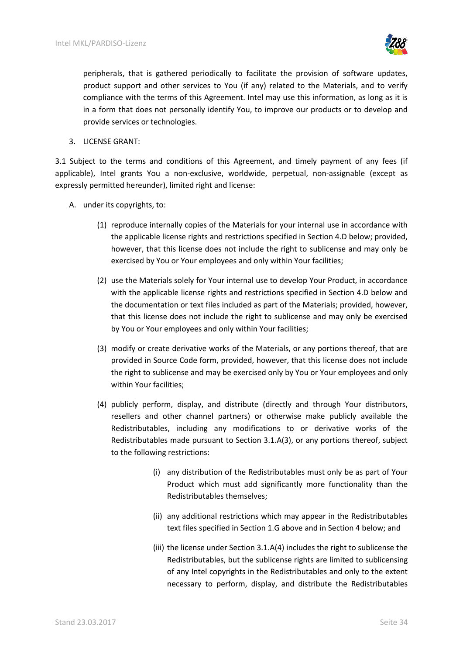

peripherals, that is gathered periodically to facilitate the provision of software updates, product support and other services to You (if any) related to the Materials, and to verify compliance with the terms of this Agreement. Intel may use this information, as long as it is in a form that does not personally identify You, to improve our products or to develop and provide services or technologies.

3. LICENSE GRANT:

3.1 Subject to the terms and conditions of this Agreement, and timely payment of any fees (if applicable), Intel grants You a non-exclusive, worldwide, perpetual, non-assignable (except as expressly permitted hereunder), limited right and license:

- A. under its copyrights, to:
	- (1) reproduce internally copies of the Materials for your internal use in accordance with the applicable license rights and restrictions specified in Section 4.D below; provided, however, that this license does not include the right to sublicense and may only be exercised by You or Your employees and only within Your facilities;
	- (2) use the Materials solely for Your internal use to develop Your Product, in accordance with the applicable license rights and restrictions specified in Section 4.D below and the documentation or text files included as part of the Materials; provided, however, that this license does not include the right to sublicense and may only be exercised by You or Your employees and only within Your facilities;
	- (3) modify or create derivative works of the Materials, or any portions thereof, that are provided in Source Code form, provided, however, that this license does not include the right to sublicense and may be exercised only by You or Your employees and only within Your facilities;
	- (4) publicly perform, display, and distribute (directly and through Your distributors, resellers and other channel partners) or otherwise make publicly available the Redistributables, including any modifications to or derivative works of the Redistributables made pursuant to Section 3.1.A(3), or any portions thereof, subject to the following restrictions:
		- (i) any distribution of the Redistributables must only be as part of Your Product which must add significantly more functionality than the Redistributables themselves;
		- (ii) any additional restrictions which may appear in the Redistributables text files specified in Section 1.G above and in Section 4 below; and
		- (iii) the license under Section 3.1.A(4) includes the right to sublicense the Redistributables, but the sublicense rights are limited to sublicensing of any Intel copyrights in the Redistributables and only to the extent necessary to perform, display, and distribute the Redistributables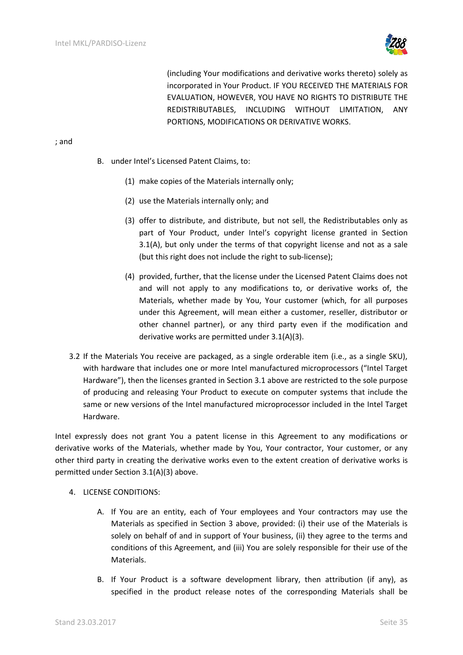

(including Your modifications and derivative works thereto) solely as incorporated in Your Product. IF YOU RECEIVED THE MATERIALS FOR EVALUATION, HOWEVER, YOU HAVE NO RIGHTS TO DISTRIBUTE THE REDISTRIBUTABLES, INCLUDING WITHOUT LIMITATION, ANY PORTIONS, MODIFICATIONS OR DERIVATIVE WORKS.

#### ; and

- B. under Intel's Licensed Patent Claims, to:
	- (1) make copies of the Materials internally only;
	- (2) use the Materials internally only; and
	- (3) offer to distribute, and distribute, but not sell, the Redistributables only as part of Your Product, under Intel's copyright license granted in Section 3.1(A), but only under the terms of that copyright license and not as a sale (but this right does not include the right to sub-license);
	- (4) provided, further, that the license under the Licensed Patent Claims does not and will not apply to any modifications to, or derivative works of, the Materials, whether made by You, Your customer (which, for all purposes under this Agreement, will mean either a customer, reseller, distributor or other channel partner), or any third party even if the modification and derivative works are permitted under 3.1(A)(3).
- 3.2 If the Materials You receive are packaged, as a single orderable item (i.e., as a single SKU), with hardware that includes one or more Intel manufactured microprocessors ("Intel Target Hardware"), then the licenses granted in Section 3.1 above are restricted to the sole purpose of producing and releasing Your Product to execute on computer systems that include the same or new versions of the Intel manufactured microprocessor included in the Intel Target Hardware.

Intel expressly does not grant You a patent license in this Agreement to any modifications or derivative works of the Materials, whether made by You, Your contractor, Your customer, or any other third party in creating the derivative works even to the extent creation of derivative works is permitted under Section 3.1(A)(3) above.

- 4. LICENSE CONDITIONS:
	- A. If You are an entity, each of Your employees and Your contractors may use the Materials as specified in Section 3 above, provided: (i) their use of the Materials is solely on behalf of and in support of Your business, (ii) they agree to the terms and conditions of this Agreement, and (iii) You are solely responsible for their use of the Materials.
	- B. If Your Product is a software development library, then attribution (if any), as specified in the product release notes of the corresponding Materials shall be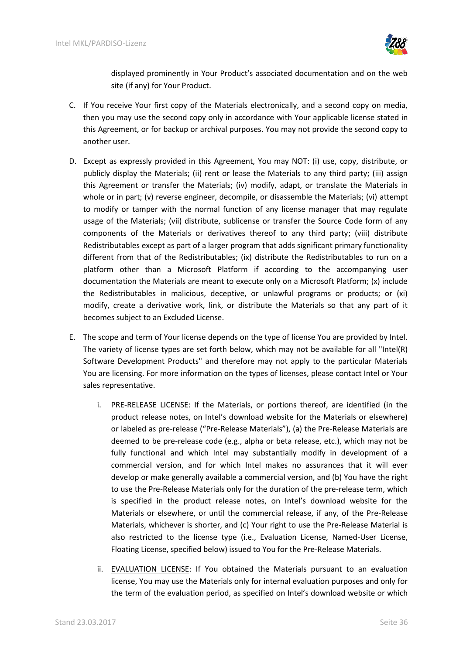

displayed prominently in Your Product's associated documentation and on the web site (if any) for Your Product.

- C. If You receive Your first copy of the Materials electronically, and a second copy on media, then you may use the second copy only in accordance with Your applicable license stated in this Agreement, or for backup or archival purposes. You may not provide the second copy to another user.
- D. Except as expressly provided in this Agreement, You may NOT: (i) use, copy, distribute, or publicly display the Materials; (ii) rent or lease the Materials to any third party; (iii) assign this Agreement or transfer the Materials; (iv) modify, adapt, or translate the Materials in whole or in part; (v) reverse engineer, decompile, or disassemble the Materials; (vi) attempt to modify or tamper with the normal function of any license manager that may regulate usage of the Materials; (vii) distribute, sublicense or transfer the Source Code form of any components of the Materials or derivatives thereof to any third party; (viii) distribute Redistributables except as part of a larger program that adds significant primary functionality different from that of the Redistributables; (ix) distribute the Redistributables to run on a platform other than a Microsoft Platform if according to the accompanying user documentation the Materials are meant to execute only on a Microsoft Platform; (x) include the Redistributables in malicious, deceptive, or unlawful programs or products; or (xi) modify, create a derivative work, link, or distribute the Materials so that any part of it becomes subject to an Excluded License.
- E. The scope and term of Your license depends on the type of license You are provided by Intel. The variety of license types are set forth below, which may not be available for all "Intel(R) Software Development Products" and therefore may not apply to the particular Materials You are licensing. For more information on the types of licenses, please contact Intel or Your sales representative.
	- i. PRE-RELEASE LICENSE: If the Materials, or portions thereof, are identified (in the product release notes, on Intel's download website for the Materials or elsewhere) or labeled as pre-release ("Pre-Release Materials"), (a) the Pre-Release Materials are deemed to be pre-release code (e.g., alpha or beta release, etc.), which may not be fully functional and which Intel may substantially modify in development of a commercial version, and for which Intel makes no assurances that it will ever develop or make generally available a commercial version, and (b) You have the right to use the Pre-Release Materials only for the duration of the pre-release term, which is specified in the product release notes, on Intel's download website for the Materials or elsewhere, or until the commercial release, if any, of the Pre-Release Materials, whichever is shorter, and (c) Your right to use the Pre-Release Material is also restricted to the license type (i.e., Evaluation License, Named-User License, Floating License, specified below) issued to You for the Pre-Release Materials.
	- ii. EVALUATION LICENSE: If You obtained the Materials pursuant to an evaluation license, You may use the Materials only for internal evaluation purposes and only for the term of the evaluation period, as specified on Intel's download website or which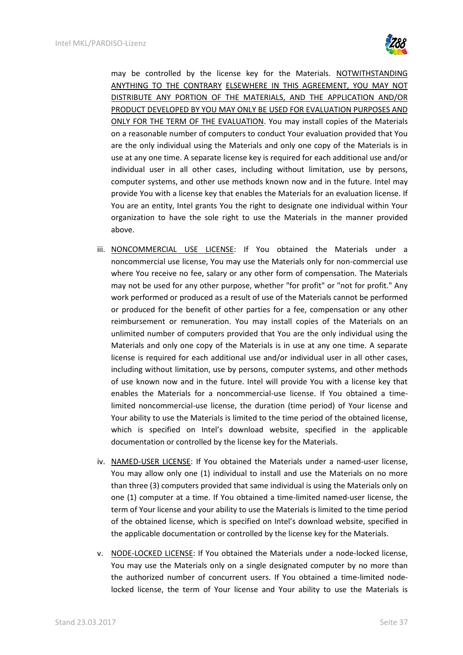

may be controlled by the license key for the Materials. NOTWITHSTANDING ANYTHING TO THE CONTRARY ELSEWHERE IN THIS AGREEMENT, YOU MAY NOT DISTRIBUTE ANY PORTION OF THE MATERIALS, AND THE APPLICATION AND/OR PRODUCT DEVELOPED BY YOU MAY ONLY BE USED FOR EVALUATION PURPOSES AND ONLY FOR THE TERM OF THE EVALUATION. You may install copies of the Materials on a reasonable number of computers to conduct Your evaluation provided that You are the only individual using the Materials and only one copy of the Materials is in use at any one time. A separate license key is required for each additional use and/or individual user in all other cases, including without limitation, use by persons, computer systems, and other use methods known now and in the future. Intel may provide You with a license key that enables the Materials for an evaluation license. If You are an entity, Intel grants You the right to designate one individual within Your organization to have the sole right to use the Materials in the manner provided above.

- iii. NONCOMMERCIAL USE LICENSE: If You obtained the Materials under a noncommercial use license, You may use the Materials only for non-commercial use where You receive no fee, salary or any other form of compensation. The Materials may not be used for any other purpose, whether "for profit" or "not for profit." Any work performed or produced as a result of use of the Materials cannot be performed or produced for the benefit of other parties for a fee, compensation or any other reimbursement or remuneration. You may install copies of the Materials on an unlimited number of computers provided that You are the only individual using the Materials and only one copy of the Materials is in use at any one time. A separate license is required for each additional use and/or individual user in all other cases, including without limitation, use by persons, computer systems, and other methods of use known now and in the future. Intel will provide You with a license key that enables the Materials for a noncommercial-use license. If You obtained a timelimited noncommercial-use license, the duration (time period) of Your license and Your ability to use the Materials is limited to the time period of the obtained license, which is specified on Intel's download website, specified in the applicable documentation or controlled by the license key for the Materials.
- iv. NAMED-USER LICENSE: If You obtained the Materials under a named-user license, You may allow only one (1) individual to install and use the Materials on no more than three (3) computers provided that same individual is using the Materials only on one (1) computer at a time. If You obtained a time-limited named-user license, the term of Your license and your ability to use the Materials is limited to the time period of the obtained license, which is specified on Intel's download website, specified in the applicable documentation or controlled by the license key for the Materials.
- v. NODE-LOCKED LICENSE: If You obtained the Materials under a node-locked license, You may use the Materials only on a single designated computer by no more than the authorized number of concurrent users. If You obtained a time-limited nodelocked license, the term of Your license and Your ability to use the Materials is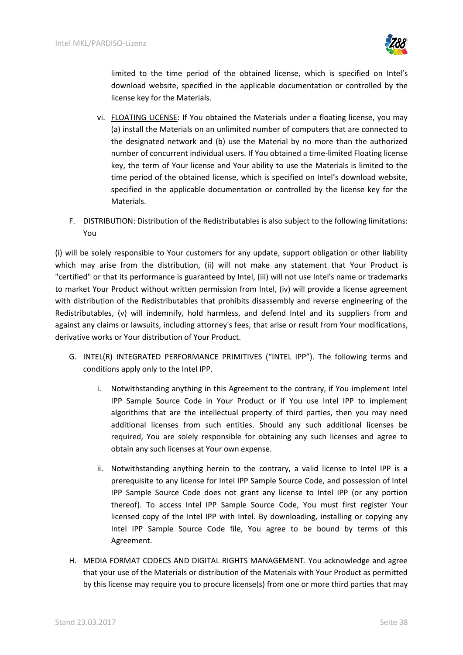

limited to the time period of the obtained license, which is specified on Intel's download website, specified in the applicable documentation or controlled by the license key for the Materials.

- vi. FLOATING LICENSE: If You obtained the Materials under a floating license, you may (a) install the Materials on an unlimited number of computers that are connected to the designated network and (b) use the Material by no more than the authorized number of concurrent individual users. If You obtained a time-limited Floating license key, the term of Your license and Your ability to use the Materials is limited to the time period of the obtained license, which is specified on Intel's download website, specified in the applicable documentation or controlled by the license key for the Materials.
- F. DISTRIBUTION: Distribution of the Redistributables is also subject to the following limitations: You

(i) will be solely responsible to Your customers for any update, support obligation or other liability which may arise from the distribution, (ii) will not make any statement that Your Product is "certified" or that its performance is guaranteed by Intel, (iii) will not use Intel's name or trademarks to market Your Product without written permission from Intel, (iv) will provide a license agreement with distribution of the Redistributables that prohibits disassembly and reverse engineering of the Redistributables, (v) will indemnify, hold harmless, and defend Intel and its suppliers from and against any claims or lawsuits, including attorney's fees, that arise or result from Your modifications, derivative works or Your distribution of Your Product.

- G. INTEL(R) INTEGRATED PERFORMANCE PRIMITIVES ("INTEL IPP"). The following terms and conditions apply only to the Intel IPP.
	- i. Notwithstanding anything in this Agreement to the contrary, if You implement Intel IPP Sample Source Code in Your Product or if You use Intel IPP to implement algorithms that are the intellectual property of third parties, then you may need additional licenses from such entities. Should any such additional licenses be required, You are solely responsible for obtaining any such licenses and agree to obtain any such licenses at Your own expense.
	- ii. Notwithstanding anything herein to the contrary, a valid license to Intel IPP is a prerequisite to any license for Intel IPP Sample Source Code, and possession of Intel IPP Sample Source Code does not grant any license to Intel IPP (or any portion thereof). To access Intel IPP Sample Source Code, You must first register Your licensed copy of the Intel IPP with Intel. By downloading, installing or copying any Intel IPP Sample Source Code file, You agree to be bound by terms of this Agreement.
- H. MEDIA FORMAT CODECS AND DIGITAL RIGHTS MANAGEMENT. You acknowledge and agree that your use of the Materials or distribution of the Materials with Your Product as permitted by this license may require you to procure license(s) from one or more third parties that may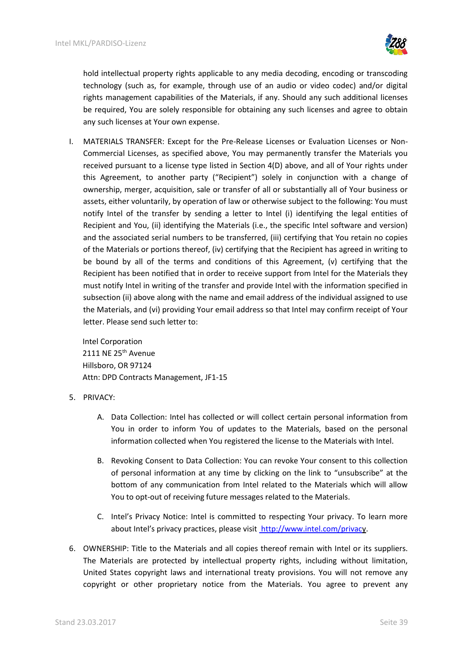

hold intellectual property rights applicable to any media decoding, encoding or transcoding technology (such as, for example, through use of an audio or video codec) and/or digital rights management capabilities of the Materials, if any. Should any such additional licenses be required, You are solely responsible for obtaining any such licenses and agree to obtain any such licenses at Your own expense.

I. MATERIALS TRANSFER: Except for the Pre-Release Licenses or Evaluation Licenses or Non-Commercial Licenses, as specified above, You may permanently transfer the Materials you received pursuant to a license type listed in Section 4(D) above, and all of Your rights under this Agreement, to another party ("Recipient") solely in conjunction with a change of ownership, merger, acquisition, sale or transfer of all or substantially all of Your business or assets, either voluntarily, by operation of law or otherwise subject to the following: You must notify Intel of the transfer by sending a letter to Intel (i) identifying the legal entities of Recipient and You, (ii) identifying the Materials (i.e., the specific Intel software and version) and the associated serial numbers to be transferred, (iii) certifying that You retain no copies of the Materials or portions thereof, (iv) certifying that the Recipient has agreed in writing to be bound by all of the terms and conditions of this Agreement, (v) certifying that the Recipient has been notified that in order to receive support from Intel for the Materials they must notify Intel in writing of the transfer and provide Intel with the information specified in subsection (ii) above along with the name and email address of the individual assigned to use the Materials, and (vi) providing Your email address so that Intel may confirm receipt of Your letter. Please send such letter to:

Intel Corporation 2111 NE 25<sup>th</sup> Avenue Hillsboro, OR 97124 Attn: DPD Contracts Management, JF1-15

#### 5. PRIVACY:

- A. Data Collection: Intel has collected or will collect certain personal information from You in order to inform You of updates to the Materials, based on the personal information collected when You registered the license to the Materials with Intel.
- B. Revoking Consent to Data Collection: You can revoke Your consent to this collection of personal information at any time by clicking on the link to "unsubscribe" at the bottom of any communication from Intel related to the Materials which will allow You to opt-out of receiving future messages related to the Materials.
- C. Intel's Privacy Notice: Intel is committed to respecting Your privacy. To learn more about Intel's privacy practices, please visit <http://www.intel.com/privacy>.
- 6. OWNERSHIP: Title to the Materials and all copies thereof remain with Intel or its suppliers. The Materials are protected by intellectual property rights, including without limitation, United States copyright laws and international treaty provisions. You will not remove any copyright or other proprietary notice from the Materials. You agree to prevent any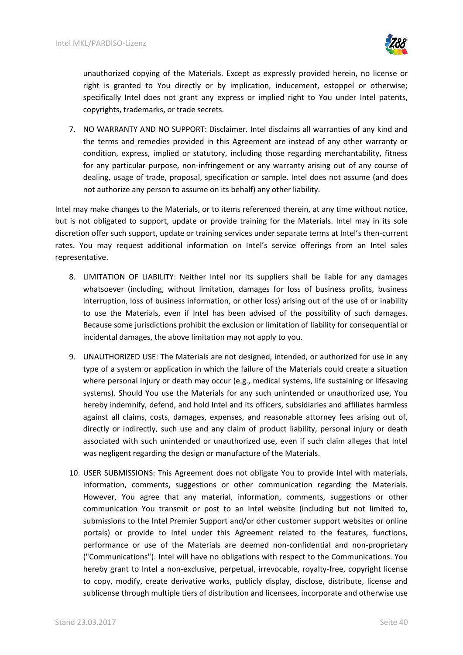

unauthorized copying of the Materials. Except as expressly provided herein, no license or right is granted to You directly or by implication, inducement, estoppel or otherwise; specifically Intel does not grant any express or implied right to You under Intel patents, copyrights, trademarks, or trade secrets.

7. NO WARRANTY AND NO SUPPORT: Disclaimer. Intel disclaims all warranties of any kind and the terms and remedies provided in this Agreement are instead of any other warranty or condition, express, implied or statutory, including those regarding merchantability, fitness for any particular purpose, non-infringement or any warranty arising out of any course of dealing, usage of trade, proposal, specification or sample. Intel does not assume (and does not authorize any person to assume on its behalf) any other liability.

Intel may make changes to the Materials, or to items referenced therein, at any time without notice, but is not obligated to support, update or provide training for the Materials. Intel may in its sole discretion offer such support, update or training services under separate terms at Intel's then-current rates. You may request additional information on Intel's service offerings from an Intel sales representative.

- 8. LIMITATION OF LIABILITY: Neither Intel nor its suppliers shall be liable for any damages whatsoever (including, without limitation, damages for loss of business profits, business interruption, loss of business information, or other loss) arising out of the use of or inability to use the Materials, even if Intel has been advised of the possibility of such damages. Because some jurisdictions prohibit the exclusion or limitation of liability for consequential or incidental damages, the above limitation may not apply to you.
- 9. UNAUTHORIZED USE: The Materials are not designed, intended, or authorized for use in any type of a system or application in which the failure of the Materials could create a situation where personal injury or death may occur (e.g., medical systems, life sustaining or lifesaving systems). Should You use the Materials for any such unintended or unauthorized use, You hereby indemnify, defend, and hold Intel and its officers, subsidiaries and affiliates harmless against all claims, costs, damages, expenses, and reasonable attorney fees arising out of, directly or indirectly, such use and any claim of product liability, personal injury or death associated with such unintended or unauthorized use, even if such claim alleges that Intel was negligent regarding the design or manufacture of the Materials.
- 10. USER SUBMISSIONS: This Agreement does not obligate You to provide Intel with materials, information, comments, suggestions or other communication regarding the Materials. However, You agree that any material, information, comments, suggestions or other communication You transmit or post to an Intel website (including but not limited to, submissions to the Intel Premier Support and/or other customer support websites or online portals) or provide to Intel under this Agreement related to the features, functions, performance or use of the Materials are deemed non-confidential and non-proprietary ("Communications"). Intel will have no obligations with respect to the Communications. You hereby grant to Intel a non-exclusive, perpetual, irrevocable, royalty-free, copyright license to copy, modify, create derivative works, publicly display, disclose, distribute, license and sublicense through multiple tiers of distribution and licensees, incorporate and otherwise use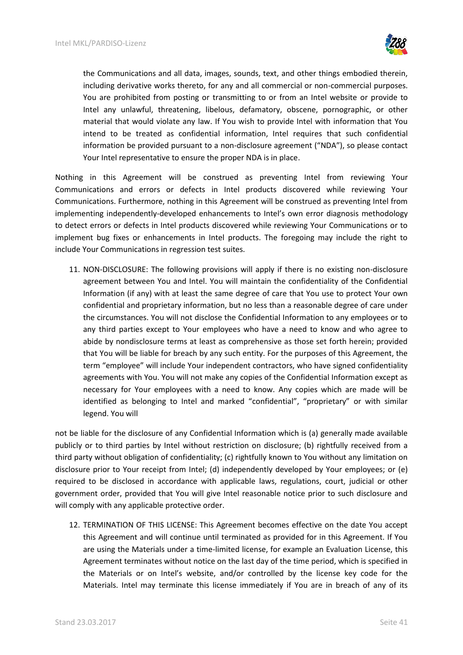

the Communications and all data, images, sounds, text, and other things embodied therein, including derivative works thereto, for any and all commercial or non-commercial purposes. You are prohibited from posting or transmitting to or from an Intel website or provide to Intel any unlawful, threatening, libelous, defamatory, obscene, pornographic, or other material that would violate any law. If You wish to provide Intel with information that You intend to be treated as confidential information, Intel requires that such confidential information be provided pursuant to a non-disclosure agreement ("NDA"), so please contact Your Intel representative to ensure the proper NDA is in place.

Nothing in this Agreement will be construed as preventing Intel from reviewing Your Communications and errors or defects in Intel products discovered while reviewing Your Communications. Furthermore, nothing in this Agreement will be construed as preventing Intel from implementing independently-developed enhancements to Intel's own error diagnosis methodology to detect errors or defects in Intel products discovered while reviewing Your Communications or to implement bug fixes or enhancements in Intel products. The foregoing may include the right to include Your Communications in regression test suites.

11. NON-DISCLOSURE: The following provisions will apply if there is no existing non-disclosure agreement between You and Intel. You will maintain the confidentiality of the Confidential Information (if any) with at least the same degree of care that You use to protect Your own confidential and proprietary information, but no less than a reasonable degree of care under the circumstances. You will not disclose the Confidential Information to any employees or to any third parties except to Your employees who have a need to know and who agree to abide by nondisclosure terms at least as comprehensive as those set forth herein; provided that You will be liable for breach by any such entity. For the purposes of this Agreement, the term "employee" will include Your independent contractors, who have signed confidentiality agreements with You. You will not make any copies of the Confidential Information except as necessary for Your employees with a need to know. Any copies which are made will be identified as belonging to Intel and marked "confidential", "proprietary" or with similar legend. You will

not be liable for the disclosure of any Confidential Information which is (a) generally made available publicly or to third parties by Intel without restriction on disclosure; (b) rightfully received from a third party without obligation of confidentiality; (c) rightfully known to You without any limitation on disclosure prior to Your receipt from Intel; (d) independently developed by Your employees; or (e) required to be disclosed in accordance with applicable laws, regulations, court, judicial or other government order, provided that You will give Intel reasonable notice prior to such disclosure and will comply with any applicable protective order.

12. TERMINATION OF THIS LICENSE: This Agreement becomes effective on the date You accept this Agreement and will continue until terminated as provided for in this Agreement. If You are using the Materials under a time-limited license, for example an Evaluation License, this Agreement terminates without notice on the last day of the time period, which is specified in the Materials or on Intel's website, and/or controlled by the license key code for the Materials. Intel may terminate this license immediately if You are in breach of any of its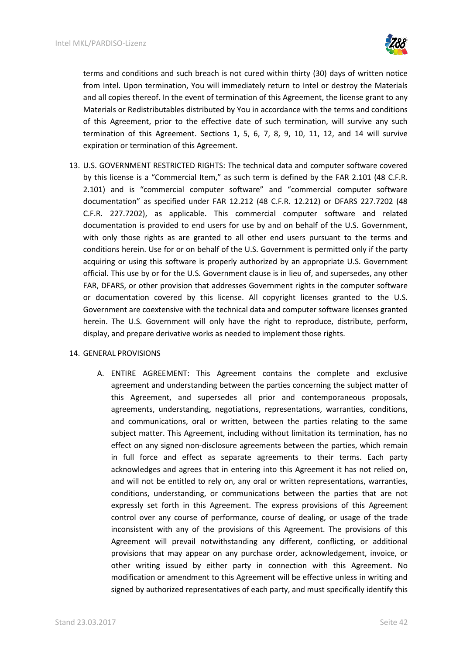

terms and conditions and such breach is not cured within thirty (30) days of written notice from Intel. Upon termination, You will immediately return to Intel or destroy the Materials and all copies thereof. In the event of termination of this Agreement, the license grant to any Materials or Redistributables distributed by You in accordance with the terms and conditions of this Agreement, prior to the effective date of such termination, will survive any such termination of this Agreement. Sections 1, 5, 6, 7, 8, 9, 10, 11, 12, and 14 will survive expiration or termination of this Agreement.

13. U.S. GOVERNMENT RESTRICTED RIGHTS: The technical data and computer software covered by this license is a "Commercial Item," as such term is defined by the FAR 2.101 (48 C.F.R. 2.101) and is "commercial computer software" and "commercial computer software documentation" as specified under FAR 12.212 (48 C.F.R. 12.212) or DFARS 227.7202 (48 C.F.R. 227.7202), as applicable. This commercial computer software and related documentation is provided to end users for use by and on behalf of the U.S. Government, with only those rights as are granted to all other end users pursuant to the terms and conditions herein. Use for or on behalf of the U.S. Government is permitted only if the party acquiring or using this software is properly authorized by an appropriate U.S. Government official. This use by or for the U.S. Government clause is in lieu of, and supersedes, any other FAR, DFARS, or other provision that addresses Government rights in the computer software or documentation covered by this license. All copyright licenses granted to the U.S. Government are coextensive with the technical data and computer software licenses granted herein. The U.S. Government will only have the right to reproduce, distribute, perform, display, and prepare derivative works as needed to implement those rights.

#### 14. GENERAL PROVISIONS

A. ENTIRE AGREEMENT: This Agreement contains the complete and exclusive agreement and understanding between the parties concerning the subject matter of this Agreement, and supersedes all prior and contemporaneous proposals, agreements, understanding, negotiations, representations, warranties, conditions, and communications, oral or written, between the parties relating to the same subject matter. This Agreement, including without limitation its termination, has no effect on any signed non-disclosure agreements between the parties, which remain in full force and effect as separate agreements to their terms. Each party acknowledges and agrees that in entering into this Agreement it has not relied on, and will not be entitled to rely on, any oral or written representations, warranties, conditions, understanding, or communications between the parties that are not expressly set forth in this Agreement. The express provisions of this Agreement control over any course of performance, course of dealing, or usage of the trade inconsistent with any of the provisions of this Agreement. The provisions of this Agreement will prevail notwithstanding any different, conflicting, or additional provisions that may appear on any purchase order, acknowledgement, invoice, or other writing issued by either party in connection with this Agreement. No modification or amendment to this Agreement will be effective unless in writing and signed by authorized representatives of each party, and must specifically identify this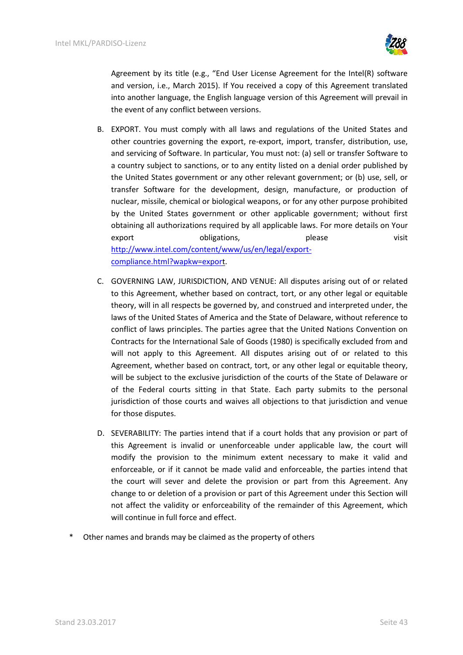

Agreement by its title (e.g., "End User License Agreement for the Intel(R) software and version, i.e., March 2015). If You received a copy of this Agreement translated into another language, the English language version of this Agreement will prevail in the event of any conflict between versions.

- B. EXPORT. You must comply with all laws and regulations of the United States and other countries governing the export, re-export, import, transfer, distribution, use, and servicing of Software. In particular, You must not: (a) sell or transfer Software to a country subject to sanctions, or to any entity listed on a denial order published by the United States government or any other relevant government; or (b) use, sell, or transfer Software for the development, design, manufacture, or production of nuclear, missile, chemical or biological weapons, or for any other purpose prohibited by the United States government or other applicable government; without first obtaining all authorizations required by all applicable laws. For more details on Your exportobligations, blood please visit [http://www.intel.com/content/www/us/en/legal/export](http://www.intel.com/content/www/us/en/legal/export-compliance.html?wapkw=export)[compliance.html?wapkw=export](http://www.intel.com/content/www/us/en/legal/export-compliance.html?wapkw=export).
- C. GOVERNING LAW, JURISDICTION, AND VENUE: All disputes arising out of or related to this Agreement, whether based on contract, tort, or any other legal or equitable theory, will in all respects be governed by, and construed and interpreted under, the laws of the United States of America and the State of Delaware, without reference to conflict of laws principles. The parties agree that the United Nations Convention on Contracts for the International Sale of Goods (1980) is specifically excluded from and will not apply to this Agreement. All disputes arising out of or related to this Agreement, whether based on contract, tort, or any other legal or equitable theory, will be subject to the exclusive jurisdiction of the courts of the State of Delaware or of the Federal courts sitting in that State. Each party submits to the personal jurisdiction of those courts and waives all objections to that jurisdiction and venue for those disputes.
- D. SEVERABILITY: The parties intend that if a court holds that any provision or part of this Agreement is invalid or unenforceable under applicable law, the court will modify the provision to the minimum extent necessary to make it valid and enforceable, or if it cannot be made valid and enforceable, the parties intend that the court will sever and delete the provision or part from this Agreement. Any change to or deletion of a provision or part of this Agreement under this Section will not affect the validity or enforceability of the remainder of this Agreement, which will continue in full force and effect.
- Other names and brands may be claimed as the property of others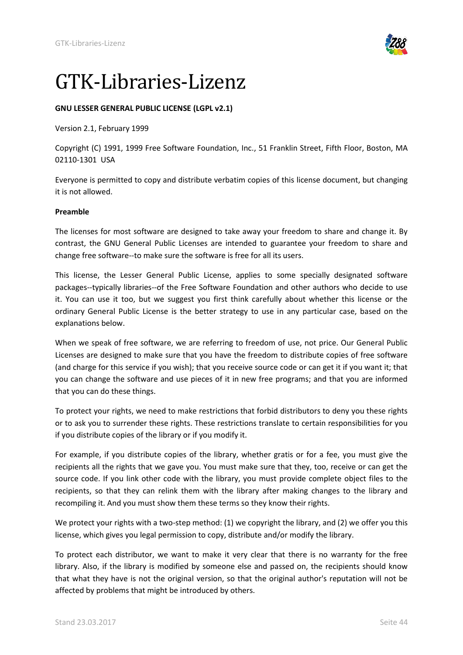<span id="page-43-0"></span>

## GTK-Libraries-Lizenz

## **GNU LESSER GENERAL PUBLIC LICENSE (LGPL v2.1)**

Version 2.1, February 1999

Copyright (C) 1991, 1999 Free Software Foundation, Inc., 51 Franklin Street, Fifth Floor, Boston, MA 02110-1301 USA

Everyone is permitted to copy and distribute verbatim copies of this license document, but changing it is not allowed.

#### **Preamble**

The licenses for most software are designed to take away your freedom to share and change it. By contrast, the GNU General Public Licenses are intended to guarantee your freedom to share and change free software--to make sure the software is free for all its users.

This license, the Lesser General Public License, applies to some specially designated software packages--typically libraries--of the Free Software Foundation and other authors who decide to use it. You can use it too, but we suggest you first think carefully about whether this license or the ordinary General Public License is the better strategy to use in any particular case, based on the explanations below.

When we speak of free software, we are referring to freedom of use, not price. Our General Public Licenses are designed to make sure that you have the freedom to distribute copies of free software (and charge for this service if you wish); that you receive source code or can get it if you want it; that you can change the software and use pieces of it in new free programs; and that you are informed that you can do these things.

To protect your rights, we need to make restrictions that forbid distributors to deny you these rights or to ask you to surrender these rights. These restrictions translate to certain responsibilities for you if you distribute copies of the library or if you modify it.

For example, if you distribute copies of the library, whether gratis or for a fee, you must give the recipients all the rights that we gave you. You must make sure that they, too, receive or can get the source code. If you link other code with the library, you must provide complete object files to the recipients, so that they can relink them with the library after making changes to the library and recompiling it. And you must show them these terms so they know their rights.

We protect your rights with a two-step method: (1) we copyright the library, and (2) we offer you this license, which gives you legal permission to copy, distribute and/or modify the library.

To protect each distributor, we want to make it very clear that there is no warranty for the free library. Also, if the library is modified by someone else and passed on, the recipients should know that what they have is not the original version, so that the original author's reputation will not be affected by problems that might be introduced by others.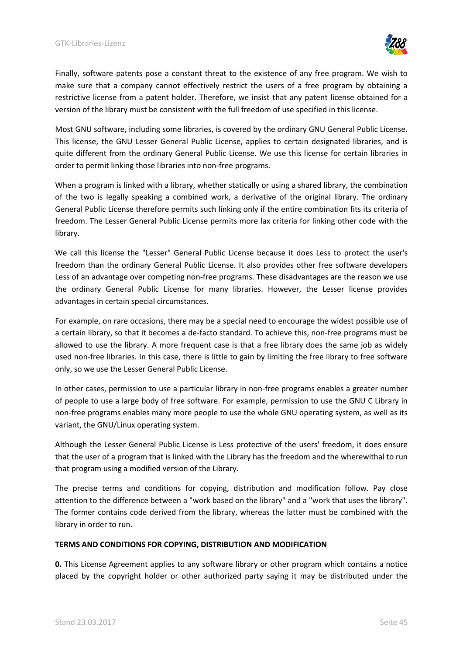

Finally, software patents pose a constant threat to the existence of any free program. We wish to make sure that a company cannot effectively restrict the users of a free program by obtaining a restrictive license from a patent holder. Therefore, we insist that any patent license obtained for a version of the library must be consistent with the full freedom of use specified in this license.

Most GNU software, including some libraries, is covered by the ordinary GNU General Public License. This license, the GNU Lesser General Public License, applies to certain designated libraries, and is quite different from the ordinary General Public License. We use this license for certain libraries in order to permit linking those libraries into non-free programs.

When a program is linked with a library, whether statically or using a shared library, the combination of the two is legally speaking a combined work, a derivative of the original library. The ordinary General Public License therefore permits such linking only if the entire combination fits its criteria of freedom. The Lesser General Public License permits more lax criteria for linking other code with the library.

We call this license the "Lesser" General Public License because it does Less to protect the user's freedom than the ordinary General Public License. It also provides other free software developers Less of an advantage over competing non-free programs. These disadvantages are the reason we use the ordinary General Public License for many libraries. However, the Lesser license provides advantages in certain special circumstances.

For example, on rare occasions, there may be a special need to encourage the widest possible use of a certain library, so that it becomes a de-facto standard. To achieve this, non-free programs must be allowed to use the library. A more frequent case is that a free library does the same job as widely used non-free libraries. In this case, there is little to gain by limiting the free library to free software only, so we use the Lesser General Public License.

In other cases, permission to use a particular library in non-free programs enables a greater number of people to use a large body of free software. For example, permission to use the GNU C Library in non-free programs enables many more people to use the whole GNU operating system, as well as its variant, the GNU/Linux operating system.

Although the Lesser General Public License is Less protective of the users' freedom, it does ensure that the user of a program that is linked with the Library has the freedom and the wherewithal to run that program using a modified version of the Library.

The precise terms and conditions for copying, distribution and modification follow. Pay close attention to the difference between a "work based on the library" and a "work that uses the library". The former contains code derived from the library, whereas the latter must be combined with the library in order to run.

## **TERMS AND CONDITIONS FOR COPYING, DISTRIBUTION AND MODIFICATION**

**0.** This License Agreement applies to any software library or other program which contains a notice placed by the copyright holder or other authorized party saying it may be distributed under the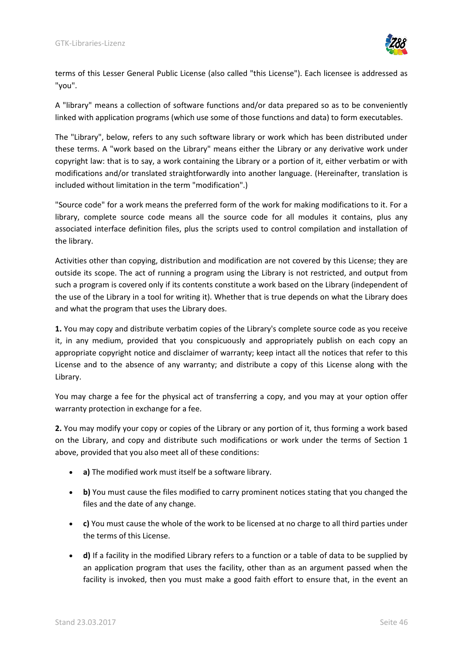

terms of this Lesser General Public License (also called "this License"). Each licensee is addressed as "you".

A "library" means a collection of software functions and/or data prepared so as to be conveniently linked with application programs (which use some of those functions and data) to form executables.

The "Library", below, refers to any such software library or work which has been distributed under these terms. A "work based on the Library" means either the Library or any derivative work under copyright law: that is to say, a work containing the Library or a portion of it, either verbatim or with modifications and/or translated straightforwardly into another language. (Hereinafter, translation is included without limitation in the term "modification".)

"Source code" for a work means the preferred form of the work for making modifications to it. For a library, complete source code means all the source code for all modules it contains, plus any associated interface definition files, plus the scripts used to control compilation and installation of the library.

Activities other than copying, distribution and modification are not covered by this License; they are outside its scope. The act of running a program using the Library is not restricted, and output from such a program is covered only if its contents constitute a work based on the Library (independent of the use of the Library in a tool for writing it). Whether that is true depends on what the Library does and what the program that uses the Library does.

**1.** You may copy and distribute verbatim copies of the Library's complete source code as you receive it, in any medium, provided that you conspicuously and appropriately publish on each copy an appropriate copyright notice and disclaimer of warranty; keep intact all the notices that refer to this License and to the absence of any warranty; and distribute a copy of this License along with the Library.

You may charge a fee for the physical act of transferring a copy, and you may at your option offer warranty protection in exchange for a fee.

**2.** You may modify your copy or copies of the Library or any portion of it, thus forming a work based on the Library, and copy and distribute such modifications or work under the terms of Section 1 above, provided that you also meet all of these conditions:

- **a)** The modified work must itself be a software library.
- **b)** You must cause the files modified to carry prominent notices stating that you changed the files and the date of any change.
- **c)** You must cause the whole of the work to be licensed at no charge to all third parties under the terms of this License.
- **d)** If a facility in the modified Library refers to a function or a table of data to be supplied by an application program that uses the facility, other than as an argument passed when the facility is invoked, then you must make a good faith effort to ensure that, in the event an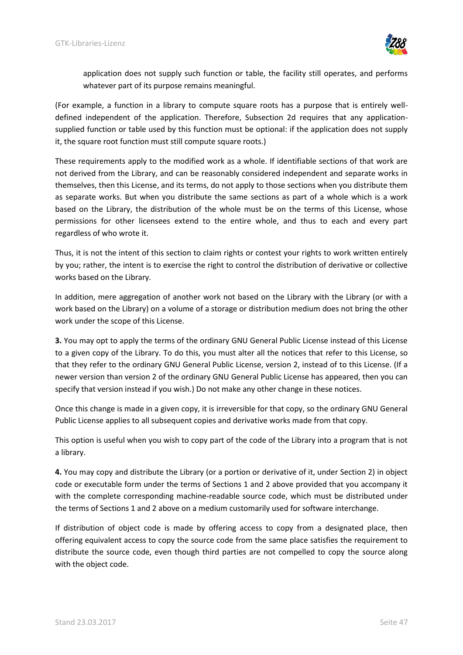

application does not supply such function or table, the facility still operates, and performs whatever part of its purpose remains meaningful.

(For example, a function in a library to compute square roots has a purpose that is entirely welldefined independent of the application. Therefore, Subsection 2d requires that any applicationsupplied function or table used by this function must be optional: if the application does not supply it, the square root function must still compute square roots.)

These requirements apply to the modified work as a whole. If identifiable sections of that work are not derived from the Library, and can be reasonably considered independent and separate works in themselves, then this License, and its terms, do not apply to those sections when you distribute them as separate works. But when you distribute the same sections as part of a whole which is a work based on the Library, the distribution of the whole must be on the terms of this License, whose permissions for other licensees extend to the entire whole, and thus to each and every part regardless of who wrote it.

Thus, it is not the intent of this section to claim rights or contest your rights to work written entirely by you; rather, the intent is to exercise the right to control the distribution of derivative or collective works based on the Library.

In addition, mere aggregation of another work not based on the Library with the Library (or with a work based on the Library) on a volume of a storage or distribution medium does not bring the other work under the scope of this License.

**3.** You may opt to apply the terms of the ordinary GNU General Public License instead of this License to a given copy of the Library. To do this, you must alter all the notices that refer to this License, so that they refer to the ordinary GNU General Public License, version 2, instead of to this License. (If a newer version than version 2 of the ordinary GNU General Public License has appeared, then you can specify that version instead if you wish.) Do not make any other change in these notices.

Once this change is made in a given copy, it is irreversible for that copy, so the ordinary GNU General Public License applies to all subsequent copies and derivative works made from that copy.

This option is useful when you wish to copy part of the code of the Library into a program that is not a library.

**4.** You may copy and distribute the Library (or a portion or derivative of it, under Section 2) in object code or executable form under the terms of Sections 1 and 2 above provided that you accompany it with the complete corresponding machine-readable source code, which must be distributed under the terms of Sections 1 and 2 above on a medium customarily used for software interchange.

If distribution of object code is made by offering access to copy from a designated place, then offering equivalent access to copy the source code from the same place satisfies the requirement to distribute the source code, even though third parties are not compelled to copy the source along with the object code.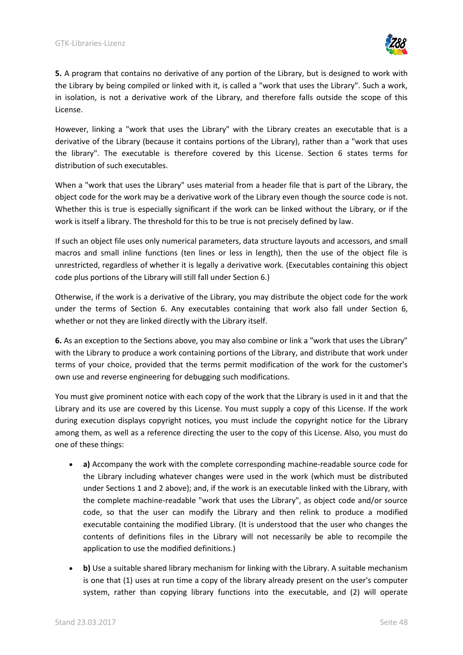

**5.** A program that contains no derivative of any portion of the Library, but is designed to work with the Library by being compiled or linked with it, is called a "work that uses the Library". Such a work, in isolation, is not a derivative work of the Library, and therefore falls outside the scope of this License.

However, linking a "work that uses the Library" with the Library creates an executable that is a derivative of the Library (because it contains portions of the Library), rather than a "work that uses the library". The executable is therefore covered by this License. Section 6 states terms for distribution of such executables.

When a "work that uses the Library" uses material from a header file that is part of the Library, the object code for the work may be a derivative work of the Library even though the source code is not. Whether this is true is especially significant if the work can be linked without the Library, or if the work is itself a library. The threshold for this to be true is not precisely defined by law.

If such an object file uses only numerical parameters, data structure layouts and accessors, and small macros and small inline functions (ten lines or less in length), then the use of the object file is unrestricted, regardless of whether it is legally a derivative work. (Executables containing this object code plus portions of the Library will still fall under Section 6.)

Otherwise, if the work is a derivative of the Library, you may distribute the object code for the work under the terms of Section 6. Any executables containing that work also fall under Section 6, whether or not they are linked directly with the Library itself.

**6.** As an exception to the Sections above, you may also combine or link a "work that uses the Library" with the Library to produce a work containing portions of the Library, and distribute that work under terms of your choice, provided that the terms permit modification of the work for the customer's own use and reverse engineering for debugging such modifications.

You must give prominent notice with each copy of the work that the Library is used in it and that the Library and its use are covered by this License. You must supply a copy of this License. If the work during execution displays copyright notices, you must include the copyright notice for the Library among them, as well as a reference directing the user to the copy of this License. Also, you must do one of these things:

- **a)** Accompany the work with the complete corresponding machine-readable source code for the Library including whatever changes were used in the work (which must be distributed under Sections 1 and 2 above); and, if the work is an executable linked with the Library, with the complete machine-readable "work that uses the Library", as object code and/or source code, so that the user can modify the Library and then relink to produce a modified executable containing the modified Library. (It is understood that the user who changes the contents of definitions files in the Library will not necessarily be able to recompile the application to use the modified definitions.)
- **b)** Use a suitable shared library mechanism for linking with the Library. A suitable mechanism is one that (1) uses at run time a copy of the library already present on the user's computer system, rather than copying library functions into the executable, and (2) will operate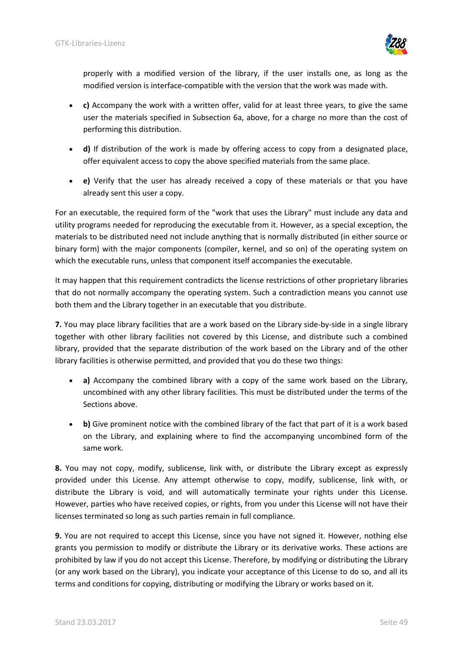

properly with a modified version of the library, if the user installs one, as long as the modified version is interface-compatible with the version that the work was made with.

- **c)** Accompany the work with a written offer, valid for at least three years, to give the same user the materials specified in Subsection 6a, above, for a charge no more than the cost of performing this distribution.
- **d)** If distribution of the work is made by offering access to copy from a designated place, offer equivalent access to copy the above specified materials from the same place.
- **e)** Verify that the user has already received a copy of these materials or that you have already sent this user a copy.

For an executable, the required form of the "work that uses the Library" must include any data and utility programs needed for reproducing the executable from it. However, as a special exception, the materials to be distributed need not include anything that is normally distributed (in either source or binary form) with the major components (compiler, kernel, and so on) of the operating system on which the executable runs, unless that component itself accompanies the executable.

It may happen that this requirement contradicts the license restrictions of other proprietary libraries that do not normally accompany the operating system. Such a contradiction means you cannot use both them and the Library together in an executable that you distribute.

**7.** You may place library facilities that are a work based on the Library side-by-side in a single library together with other library facilities not covered by this License, and distribute such a combined library, provided that the separate distribution of the work based on the Library and of the other library facilities is otherwise permitted, and provided that you do these two things:

- **a)** Accompany the combined library with a copy of the same work based on the Library, uncombined with any other library facilities. This must be distributed under the terms of the Sections above.
- **b)** Give prominent notice with the combined library of the fact that part of it is a work based on the Library, and explaining where to find the accompanying uncombined form of the same work.

**8.** You may not copy, modify, sublicense, link with, or distribute the Library except as expressly provided under this License. Any attempt otherwise to copy, modify, sublicense, link with, or distribute the Library is void, and will automatically terminate your rights under this License. However, parties who have received copies, or rights, from you under this License will not have their licenses terminated so long as such parties remain in full compliance.

**9.** You are not required to accept this License, since you have not signed it. However, nothing else grants you permission to modify or distribute the Library or its derivative works. These actions are prohibited by law if you do not accept this License. Therefore, by modifying or distributing the Library (or any work based on the Library), you indicate your acceptance of this License to do so, and all its terms and conditions for copying, distributing or modifying the Library or works based on it.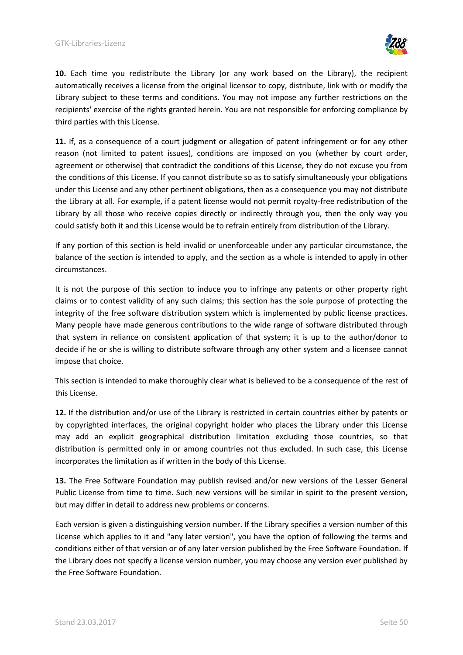

**10.** Each time you redistribute the Library (or any work based on the Library), the recipient automatically receives a license from the original licensor to copy, distribute, link with or modify the Library subject to these terms and conditions. You may not impose any further restrictions on the recipients' exercise of the rights granted herein. You are not responsible for enforcing compliance by third parties with this License.

**11.** If, as a consequence of a court judgment or allegation of patent infringement or for any other reason (not limited to patent issues), conditions are imposed on you (whether by court order, agreement or otherwise) that contradict the conditions of this License, they do not excuse you from the conditions of this License. If you cannot distribute so as to satisfy simultaneously your obligations under this License and any other pertinent obligations, then as a consequence you may not distribute the Library at all. For example, if a patent license would not permit royalty-free redistribution of the Library by all those who receive copies directly or indirectly through you, then the only way you could satisfy both it and this License would be to refrain entirely from distribution of the Library.

If any portion of this section is held invalid or unenforceable under any particular circumstance, the balance of the section is intended to apply, and the section as a whole is intended to apply in other circumstances.

It is not the purpose of this section to induce you to infringe any patents or other property right claims or to contest validity of any such claims; this section has the sole purpose of protecting the integrity of the free software distribution system which is implemented by public license practices. Many people have made generous contributions to the wide range of software distributed through that system in reliance on consistent application of that system; it is up to the author/donor to decide if he or she is willing to distribute software through any other system and a licensee cannot impose that choice.

This section is intended to make thoroughly clear what is believed to be a consequence of the rest of this License.

**12.** If the distribution and/or use of the Library is restricted in certain countries either by patents or by copyrighted interfaces, the original copyright holder who places the Library under this License may add an explicit geographical distribution limitation excluding those countries, so that distribution is permitted only in or among countries not thus excluded. In such case, this License incorporates the limitation as if written in the body of this License.

**13.** The Free Software Foundation may publish revised and/or new versions of the Lesser General Public License from time to time. Such new versions will be similar in spirit to the present version, but may differ in detail to address new problems or concerns.

Each version is given a distinguishing version number. If the Library specifies a version number of this License which applies to it and "any later version", you have the option of following the terms and conditions either of that version or of any later version published by the Free Software Foundation. If the Library does not specify a license version number, you may choose any version ever published by the Free Software Foundation.